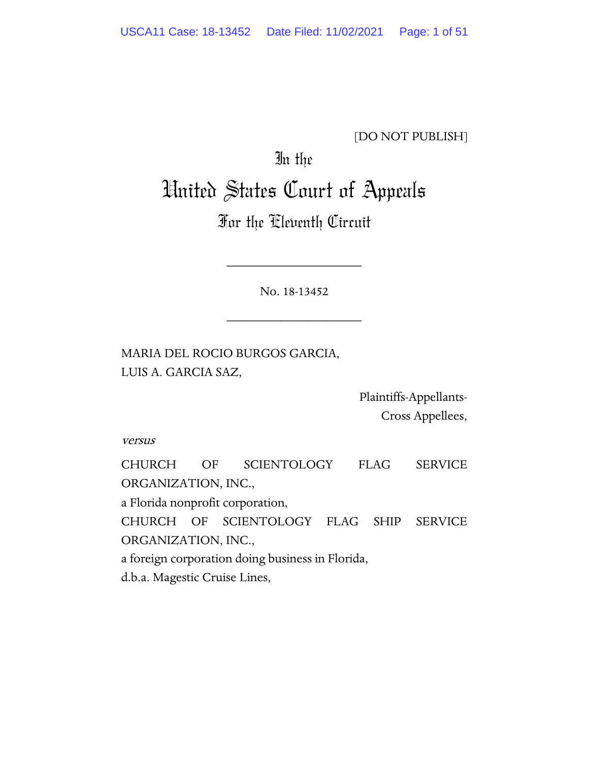### [DO NOT PUBLISH]

## In the

# United States Court of Appeals

## For the Eleventh Circuit

No. 18-13452

\_\_\_\_\_\_\_\_\_\_\_\_\_\_\_\_\_\_\_\_

\_\_\_\_\_\_\_\_\_\_\_\_\_\_\_\_\_\_\_\_

MARIA DEL ROCIO BURGOS GARCIA, LUIS A. GARCIA SAZ,

> Plaintiffs-Appellants-Cross Appellees,

versus

CHURCH OF SCIENTOLOGY FLAG SERVICE ORGANIZATION, INC., a Florida nonprofit corporation, CHURCH OF SCIENTOLOGY FLAG SHIP SERVICE ORGANIZATION, INC., a foreign corporation doing business in Florida, d.b.a. Magestic Cruise Lines,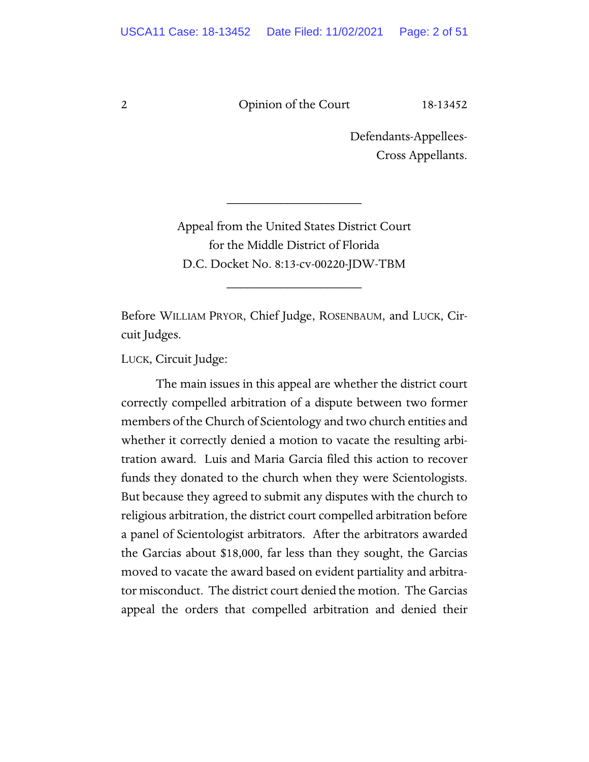Defendants-Appellees-Cross Appellants.

Appeal from the United States District Court for the Middle District of Florida D.C. Docket No. 8:13-cv-00220-JDW-TBM

\_\_\_\_\_\_\_\_\_\_\_\_\_\_\_\_\_\_\_\_

\_\_\_\_\_\_\_\_\_\_\_\_\_\_\_\_\_\_\_\_

Before WILLIAM PRYOR, Chief Judge, ROSENBAUM, and LUCK, Circuit Judges.

LUCK, Circuit Judge:

The main issues in this appeal are whether the district court correctly compelled arbitration of a dispute between two former members of the Church of Scientology and two church entities and whether it correctly denied a motion to vacate the resulting arbitration award. Luis and Maria Garcia filed this action to recover funds they donated to the church when they were Scientologists. But because they agreed to submit any disputes with the church to religious arbitration, the district court compelled arbitration before a panel of Scientologist arbitrators. After the arbitrators awarded the Garcias about \$18,000, far less than they sought, the Garcias moved to vacate the award based on evident partiality and arbitrator misconduct. The district court denied the motion. The Garcias appeal the orders that compelled arbitration and denied their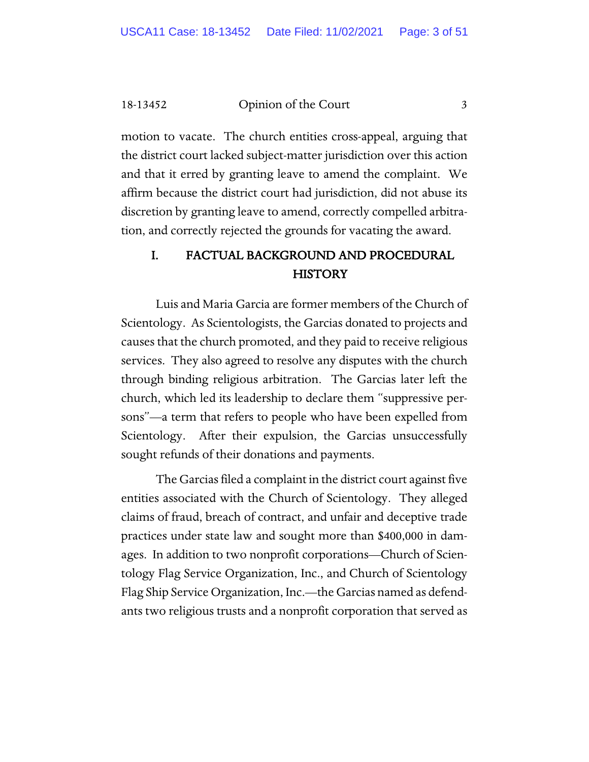motion to vacate. The church entities cross-appeal, arguing that the district court lacked subject-matter jurisdiction over this action and that it erred by granting leave to amend the complaint. We affirm because the district court had jurisdiction, did not abuse its discretion by granting leave to amend, correctly compelled arbitration, and correctly rejected the grounds for vacating the award.

## I. FACTUAL BACKGROUND AND PROCEDURAL **HISTORY**

Luis and Maria Garcia are former members of the Church of Scientology. As Scientologists, the Garcias donated to projects and causes that the church promoted, and they paid to receive religious services. They also agreed to resolve any disputes with the church through binding religious arbitration. The Garcias later left the church, which led its leadership to declare them "suppressive persons"—a term that refers to people who have been expelled from Scientology. After their expulsion, the Garcias unsuccessfully sought refunds of their donations and payments.

The Garcias filed a complaint in the district court against five entities associated with the Church of Scientology. They alleged claims of fraud, breach of contract, and unfair and deceptive trade practices under state law and sought more than \$400,000 in damages. In addition to two nonprofit corporations—Church of Scientology Flag Service Organization, Inc., and Church of Scientology Flag Ship Service Organization, Inc.—the Garcias named as defendants two religious trusts and a nonprofit corporation that served as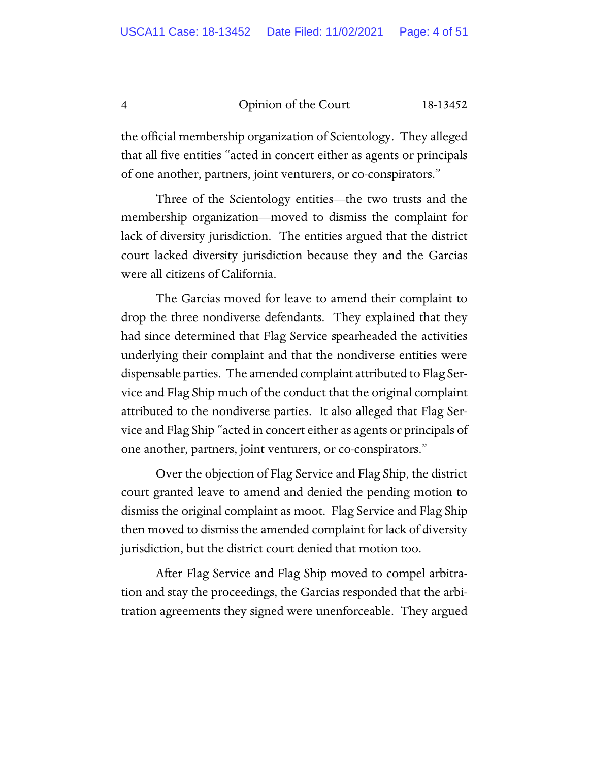the official membership organization of Scientology. They alleged that all five entities "acted in concert either as agents or principals of one another, partners, joint venturers, or co-conspirators."

Three of the Scientology entities—the two trusts and the membership organization—moved to dismiss the complaint for lack of diversity jurisdiction. The entities argued that the district court lacked diversity jurisdiction because they and the Garcias were all citizens of California.

The Garcias moved for leave to amend their complaint to drop the three nondiverse defendants. They explained that they had since determined that Flag Service spearheaded the activities underlying their complaint and that the nondiverse entities were dispensable parties. The amended complaint attributed to Flag Service and Flag Ship much of the conduct that the original complaint attributed to the nondiverse parties. It also alleged that Flag Service and Flag Ship "acted in concert either as agents or principals of one another, partners, joint venturers, or co-conspirators."

Over the objection of Flag Service and Flag Ship, the district court granted leave to amend and denied the pending motion to dismiss the original complaint as moot. Flag Service and Flag Ship then moved to dismiss the amended complaint for lack of diversity jurisdiction, but the district court denied that motion too.

After Flag Service and Flag Ship moved to compel arbitration and stay the proceedings, the Garcias responded that the arbitration agreements they signed were unenforceable. They argued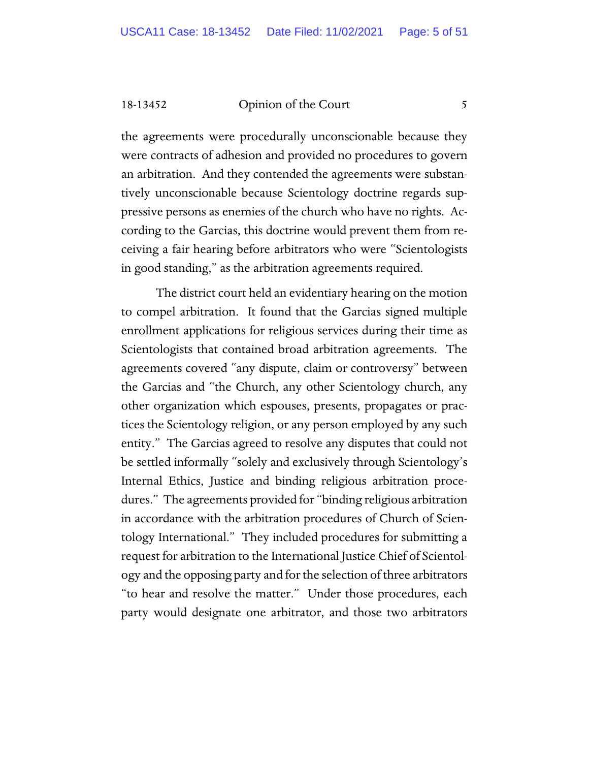the agreements were procedurally unconscionable because they were contracts of adhesion and provided no procedures to govern an arbitration. And they contended the agreements were substantively unconscionable because Scientology doctrine regards suppressive persons as enemies of the church who have no rights. According to the Garcias, this doctrine would prevent them from receiving a fair hearing before arbitrators who were "Scientologists in good standing," as the arbitration agreements required.

The district court held an evidentiary hearing on the motion to compel arbitration. It found that the Garcias signed multiple enrollment applications for religious services during their time as Scientologists that contained broad arbitration agreements. The agreements covered "any dispute, claim or controversy" between the Garcias and "the Church, any other Scientology church, any other organization which espouses, presents, propagates or practices the Scientology religion, or any person employed by any such entity." The Garcias agreed to resolve any disputes that could not be settled informally "solely and exclusively through Scientology's Internal Ethics, Justice and binding religious arbitration procedures." The agreements provided for "binding religious arbitration in accordance with the arbitration procedures of Church of Scientology International." They included procedures for submitting a request for arbitration to the International Justice Chief of Scientology and the opposing party and for the selection of three arbitrators "to hear and resolve the matter." Under those procedures, each party would designate one arbitrator, and those two arbitrators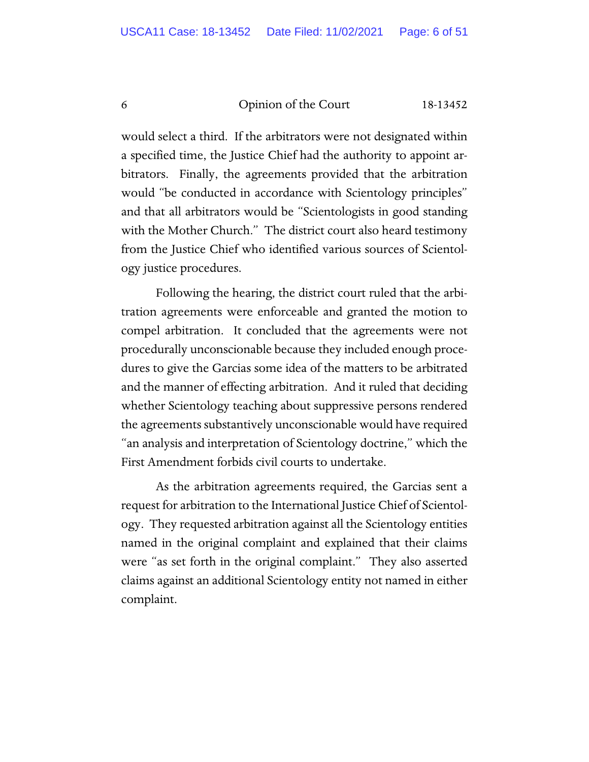would select a third. If the arbitrators were not designated within a specified time, the Justice Chief had the authority to appoint arbitrators. Finally, the agreements provided that the arbitration would "be conducted in accordance with Scientology principles" and that all arbitrators would be "Scientologists in good standing with the Mother Church." The district court also heard testimony from the Justice Chief who identified various sources of Scientology justice procedures.

Following the hearing, the district court ruled that the arbitration agreements were enforceable and granted the motion to compel arbitration. It concluded that the agreements were not procedurally unconscionable because they included enough procedures to give the Garcias some idea of the matters to be arbitrated and the manner of effecting arbitration. And it ruled that deciding whether Scientology teaching about suppressive persons rendered the agreements substantively unconscionable would have required "an analysis and interpretation of Scientology doctrine," which the First Amendment forbids civil courts to undertake.

As the arbitration agreements required, the Garcias sent a request for arbitration to the International Justice Chief of Scientology. They requested arbitration against all the Scientology entities named in the original complaint and explained that their claims were "as set forth in the original complaint." They also asserted claims against an additional Scientology entity not named in either complaint.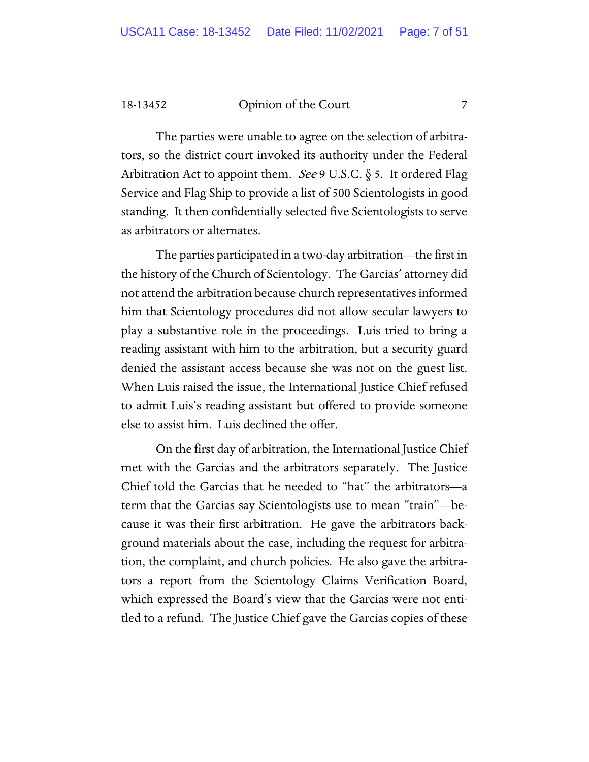The parties were unable to agree on the selection of arbitrators, so the district court invoked its authority under the Federal Arbitration Act to appoint them. *See* 9 U.S.C.  $\S$  5. It ordered Flag Service and Flag Ship to provide a list of 500 Scientologists in good standing. It then confidentially selected five Scientologists to serve as arbitrators or alternates.

The parties participated in a two-day arbitration—the first in the history of the Church of Scientology. The Garcias' attorney did not attend the arbitration because church representatives informed him that Scientology procedures did not allow secular lawyers to play a substantive role in the proceedings. Luis tried to bring a reading assistant with him to the arbitration, but a security guard denied the assistant access because she was not on the guest list. When Luis raised the issue, the International Justice Chief refused to admit Luis's reading assistant but offered to provide someone else to assist him. Luis declined the offer.

On the first day of arbitration, the International Justice Chief met with the Garcias and the arbitrators separately. The Justice Chief told the Garcias that he needed to "hat" the arbitrators—a term that the Garcias say Scientologists use to mean "train"—because it was their first arbitration. He gave the arbitrators background materials about the case, including the request for arbitration, the complaint, and church policies. He also gave the arbitrators a report from the Scientology Claims Verification Board, which expressed the Board's view that the Garcias were not entitled to a refund. The Justice Chief gave the Garcias copies of these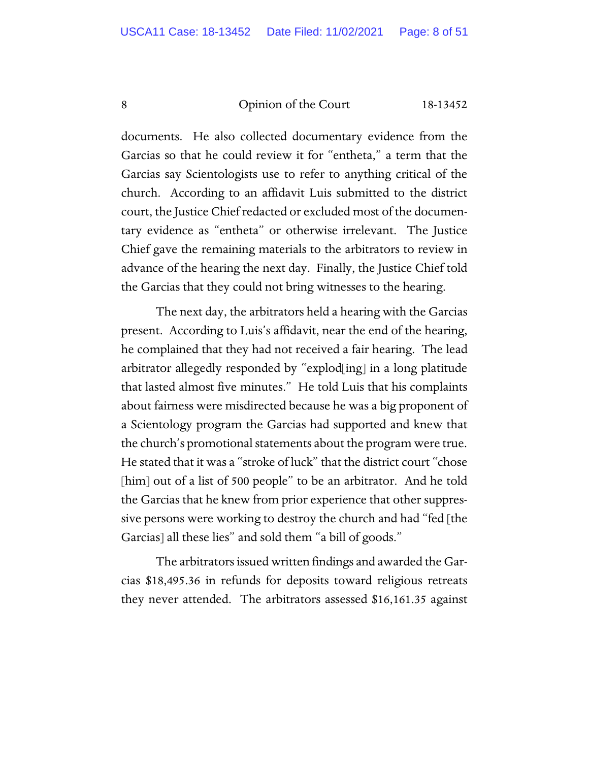documents. He also collected documentary evidence from the Garcias so that he could review it for "entheta," a term that the Garcias say Scientologists use to refer to anything critical of the church. According to an affidavit Luis submitted to the district court, the Justice Chief redacted or excluded most of the documentary evidence as "entheta" or otherwise irrelevant. The Justice Chief gave the remaining materials to the arbitrators to review in advance of the hearing the next day. Finally, the Justice Chief told the Garcias that they could not bring witnesses to the hearing.

The next day, the arbitrators held a hearing with the Garcias present. According to Luis's affidavit, near the end of the hearing, he complained that they had not received a fair hearing. The lead arbitrator allegedly responded by "explod[ing] in a long platitude that lasted almost five minutes." He told Luis that his complaints about fairness were misdirected because he was a big proponent of a Scientology program the Garcias had supported and knew that the church's promotional statements about the program were true. He stated that it was a "stroke of luck" that the district court "chose [him] out of a list of 500 people" to be an arbitrator. And he told the Garcias that he knew from prior experience that other suppressive persons were working to destroy the church and had "fed [the Garcias] all these lies" and sold them "a bill of goods."

The arbitrators issued written findings and awarded the Garcias \$18,495.36 in refunds for deposits toward religious retreats they never attended. The arbitrators assessed \$16,161.35 against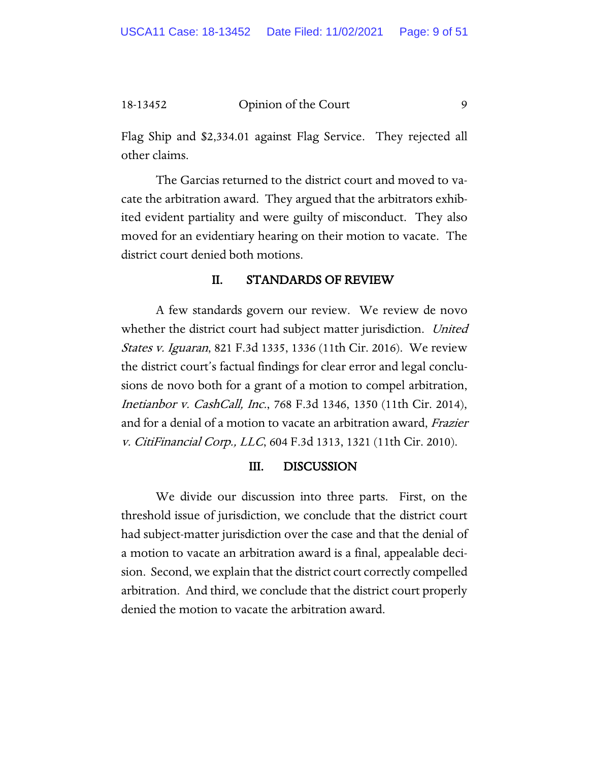Flag Ship and \$2,334.01 against Flag Service. They rejected all other claims.

The Garcias returned to the district court and moved to vacate the arbitration award. They argued that the arbitrators exhibited evident partiality and were guilty of misconduct. They also moved for an evidentiary hearing on their motion to vacate. The district court denied both motions.

#### II. STANDARDS OF REVIEW

A few standards govern our review. We review de novo whether the district court had subject matter jurisdiction. United States v. Iguaran, 821 F.3d 1335, 1336 (11th Cir. 2016). We review the district court's factual findings for clear error and legal conclusions de novo both for a grant of a motion to compel arbitration, Inetianbor v. CashCall, Inc., 768 F.3d 1346, 1350 (11th Cir. 2014), and for a denial of a motion to vacate an arbitration award, Frazier v. CitiFinancial Corp., LLC, 604 F.3d 1313, 1321 (11th Cir. 2010).

#### III. DISCUSSION

We divide our discussion into three parts. First, on the threshold issue of jurisdiction, we conclude that the district court had subject-matter jurisdiction over the case and that the denial of a motion to vacate an arbitration award is a final, appealable decision. Second, we explain that the district court correctly compelled arbitration. And third, we conclude that the district court properly denied the motion to vacate the arbitration award.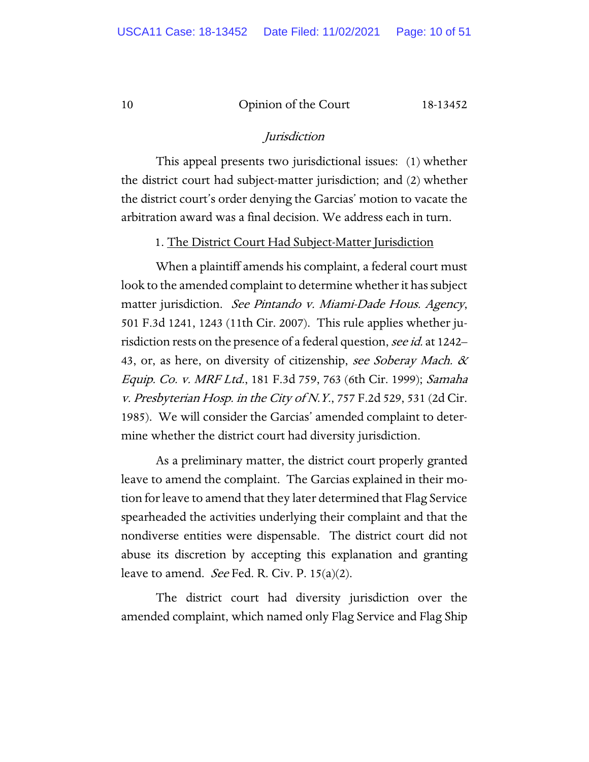#### Jurisdiction

This appeal presents two jurisdictional issues: (1) whether the district court had subject-matter jurisdiction; and (2) whether the district court's order denying the Garcias' motion to vacate the arbitration award was a final decision. We address each in turn.

1. The District Court Had Subject-Matter Jurisdiction

When a plaintiff amends his complaint, a federal court must look to the amended complaint to determine whether it has subject matter jurisdiction. See Pintando v. Miami-Dade Hous. Agency, 501 F.3d 1241, 1243 (11th Cir. 2007). This rule applies whether jurisdiction rests on the presence of a federal question, see id. at 1242– 43, or, as here, on diversity of citizenship, see Soberay Mach. & Equip. Co. v. MRF Ltd., 181 F.3d 759, 763 (6th Cir. 1999); Samaha v. Presbyterian Hosp. in the City of N.Y., 757 F.2d 529, 531 (2d Cir. 1985). We will consider the Garcias' amended complaint to determine whether the district court had diversity jurisdiction.

As a preliminary matter, the district court properly granted leave to amend the complaint. The Garcias explained in their motion for leave to amend that they later determined that Flag Service spearheaded the activities underlying their complaint and that the nondiverse entities were dispensable. The district court did not abuse its discretion by accepting this explanation and granting leave to amend. *See* Fed. R. Civ. P. 15(a)(2).

The district court had diversity jurisdiction over the amended complaint, which named only Flag Service and Flag Ship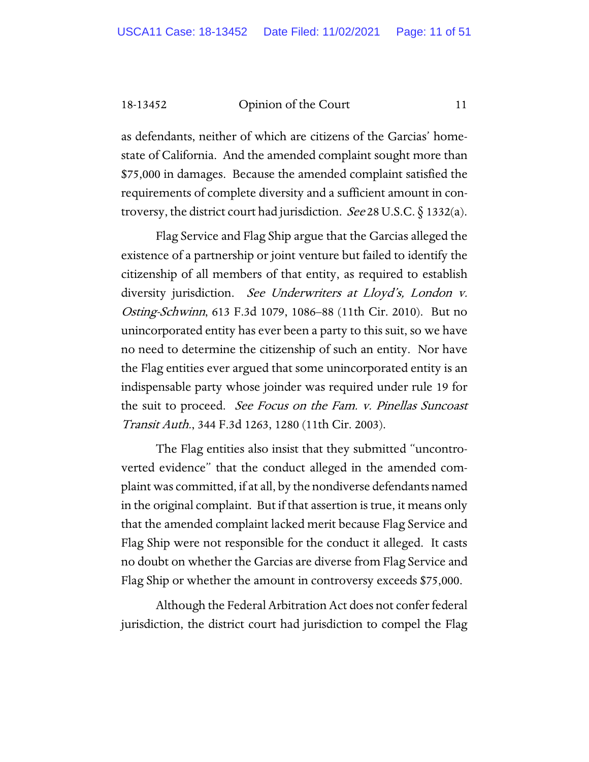as defendants, neither of which are citizens of the Garcias' homestate of California. And the amended complaint sought more than \$75,000 in damages. Because the amended complaint satisfied the requirements of complete diversity and a sufficient amount in controversy, the district court had jurisdiction. *See* 28 U.S.C.  $\S$  1332(a).

Flag Service and Flag Ship argue that the Garcias alleged the existence of a partnership or joint venture but failed to identify the citizenship of all members of that entity, as required to establish diversity jurisdiction. See Underwriters at Lloyd's, London v. Osting-Schwinn, 613 F.3d 1079, 1086–88 (11th Cir. 2010). But no unincorporated entity has ever been a party to this suit, so we have no need to determine the citizenship of such an entity. Nor have the Flag entities ever argued that some unincorporated entity is an indispensable party whose joinder was required under rule 19 for the suit to proceed. See Focus on the Fam. v. Pinellas Suncoast Transit Auth., 344 F.3d 1263, 1280 (11th Cir. 2003).

The Flag entities also insist that they submitted "uncontroverted evidence" that the conduct alleged in the amended complaint was committed, if at all, by the nondiverse defendants named in the original complaint. But if that assertion is true, it means only that the amended complaint lacked merit because Flag Service and Flag Ship were not responsible for the conduct it alleged. It casts no doubt on whether the Garcias are diverse from Flag Service and Flag Ship or whether the amount in controversy exceeds \$75,000.

Although the Federal Arbitration Act does not confer federal jurisdiction, the district court had jurisdiction to compel the Flag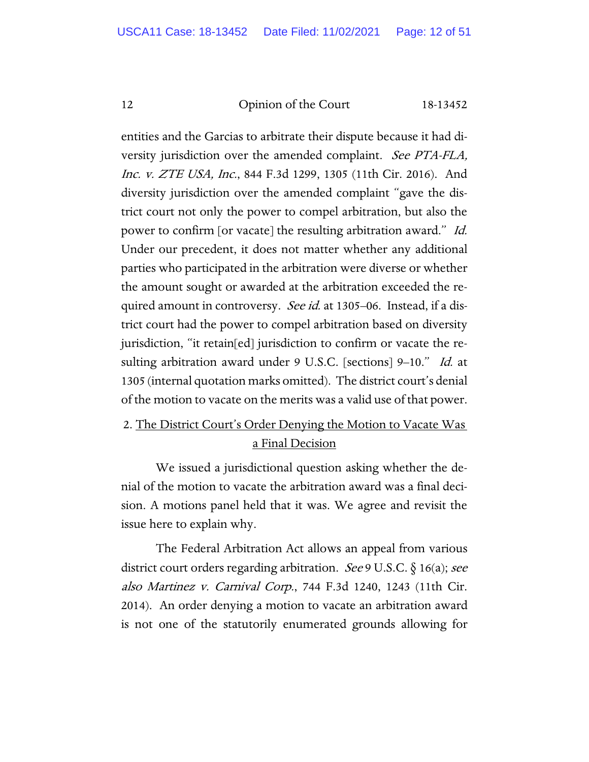entities and the Garcias to arbitrate their dispute because it had diversity jurisdiction over the amended complaint. See PTA-FLA, Inc. v. ZTE USA, Inc., 844 F.3d 1299, 1305 (11th Cir. 2016). And diversity jurisdiction over the amended complaint "gave the district court not only the power to compel arbitration, but also the power to confirm [or vacate] the resulting arbitration award." Id. Under our precedent, it does not matter whether any additional parties who participated in the arbitration were diverse or whether the amount sought or awarded at the arbitration exceeded the required amount in controversy. *See id.* at 1305–06. Instead, if a district court had the power to compel arbitration based on diversity jurisdiction, "it retain[ed] jurisdiction to confirm or vacate the resulting arbitration award under 9 U.S.C. [sections] 9-10." Id. at 1305 (internal quotation marks omitted). The district court's denial of the motion to vacate on the merits was a valid use of that power.

### 2. The District Court's Order Denying the Motion to Vacate Was a Final Decision

We issued a jurisdictional question asking whether the denial of the motion to vacate the arbitration award was a final decision. A motions panel held that it was. We agree and revisit the issue here to explain why.

The Federal Arbitration Act allows an appeal from various district court orders regarding arbitration. See 9 U.S.C.  $\S$  16(a); see also Martinez v. Carnival Corp., 744 F.3d 1240, 1243 (11th Cir. 2014). An order denying a motion to vacate an arbitration award is not one of the statutorily enumerated grounds allowing for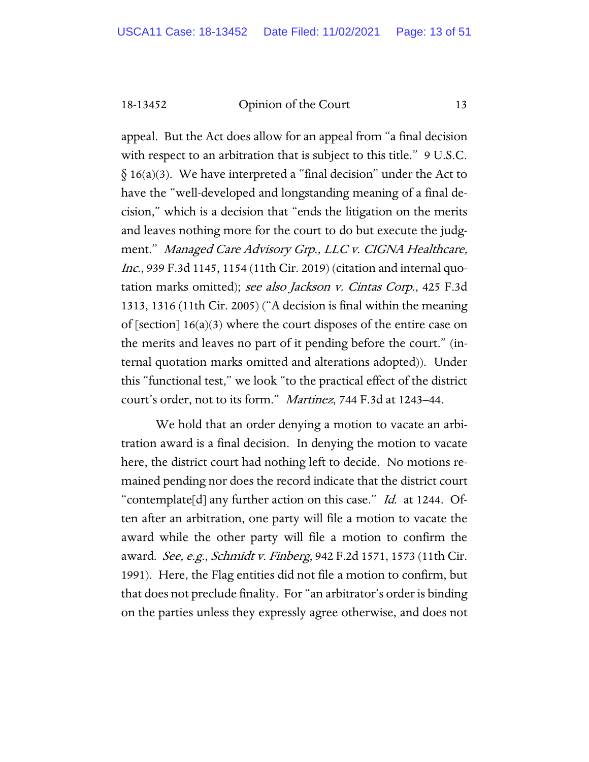appeal. But the Act does allow for an appeal from "a final decision with respect to an arbitration that is subject to this title." 9 U.S.C.  $\delta$  16(a)(3). We have interpreted a "final decision" under the Act to have the "well-developed and longstanding meaning of a final decision," which is a decision that "ends the litigation on the merits and leaves nothing more for the court to do but execute the judgment." Managed Care Advisory Grp., LLC v. CIGNA Healthcare, Inc., 939 F.3d 1145, 1154 (11th Cir. 2019) (citation and internal quotation marks omitted); see also Jackson v. Cintas Corp., 425 F.3d 1313, 1316 (11th Cir. 2005) ("A decision is final within the meaning of [section]  $16(a)(3)$  where the court disposes of the entire case on the merits and leaves no part of it pending before the court." (internal quotation marks omitted and alterations adopted)). Under this "functional test," we look "to the practical effect of the district court's order, not to its form." Martinez, 744 F.3d at 1243–44.

We hold that an order denying a motion to vacate an arbitration award is a final decision. In denying the motion to vacate here, the district court had nothing left to decide. No motions remained pending nor does the record indicate that the district court "contemplate[d] any further action on this case." *Id.* at 1244. Often after an arbitration, one party will file a motion to vacate the award while the other party will file a motion to confirm the award. See, e.g., Schmidt v. Finberg, 942 F.2d 1571, 1573 (11th Cir. 1991). Here, the Flag entities did not file a motion to confirm, but that does not preclude finality. For "an arbitrator's order is binding on the parties unless they expressly agree otherwise, and does not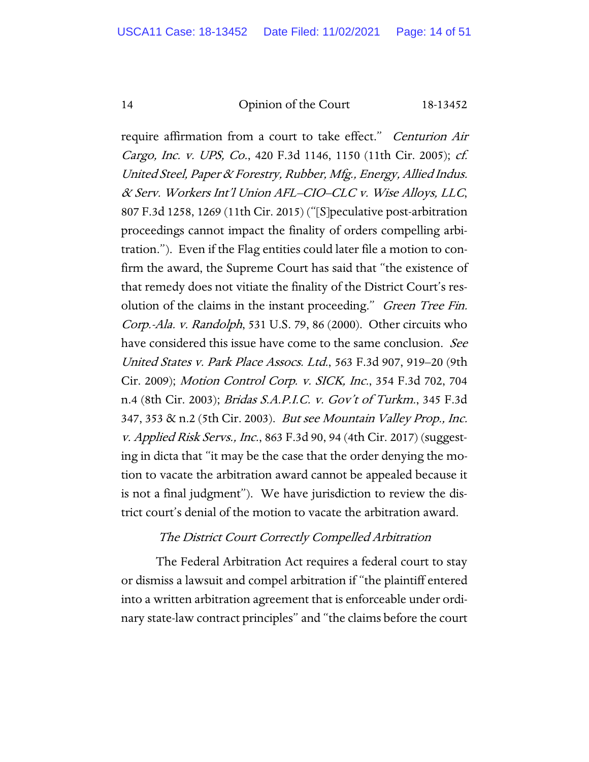require affirmation from a court to take effect." *Centurion Air* Cargo, Inc. v. UPS, Co., 420 F.3d 1146, 1150 (11th Cir. 2005); cf. United Steel, Paper & Forestry, Rubber, Mfg., Energy, Allied Indus. & Serv. Workers Int'l Union AFL–CIO–CLC v. Wise Alloys, LLC, 807 F.3d 1258, 1269 (11th Cir. 2015) ("[S]peculative post-arbitration proceedings cannot impact the finality of orders compelling arbitration."). Even if the Flag entities could later file a motion to confirm the award, the Supreme Court has said that "the existence of that remedy does not vitiate the finality of the District Court's resolution of the claims in the instant proceeding." *Green Tree Fin.* Corp.-Ala. v. Randolph, 531 U.S. 79, 86 (2000). Other circuits who have considered this issue have come to the same conclusion. See United States v. Park Place Assocs. Ltd., 563 F.3d 907, 919–20 (9th Cir. 2009); Motion Control Corp. v. SICK, Inc., 354 F.3d 702, 704 n.4 (8th Cir. 2003); Bridas S.A.P.I.C. v. Gov't of Turkm., 345 F.3d 347, 353 & n.2 (5th Cir. 2003). But see Mountain Valley Prop., Inc. v. Applied Risk Servs., Inc., 863 F.3d 90, 94 (4th Cir. 2017) (suggesting in dicta that "it may be the case that the order denying the motion to vacate the arbitration award cannot be appealed because it is not a final judgment"). We have jurisdiction to review the district court's denial of the motion to vacate the arbitration award.

#### The District Court Correctly Compelled Arbitration

The Federal Arbitration Act requires a federal court to stay or dismiss a lawsuit and compel arbitration if "the plaintiff entered into a written arbitration agreement that is enforceable under ordinary state-law contract principles" and "the claims before the court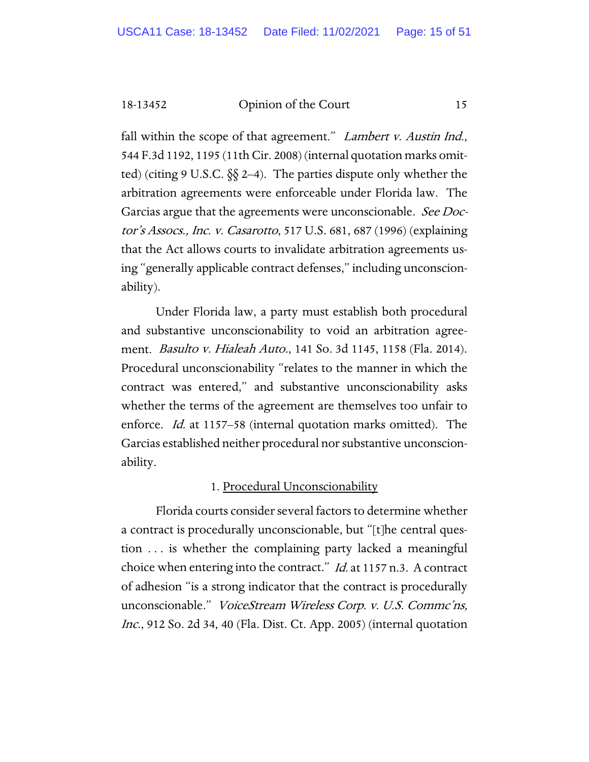fall within the scope of that agreement." *Lambert v. Austin Ind.*, 544 F.3d 1192, 1195 (11th Cir. 2008) (internal quotation marks omitted) (citing 9 U.S.C.  $\S$  2–4). The parties dispute only whether the arbitration agreements were enforceable under Florida law. The Garcias argue that the agreements were unconscionable. See Doctor's Assocs., Inc. v. Casarotto, 517 U.S. 681, 687 (1996) (explaining that the Act allows courts to invalidate arbitration agreements using "generally applicable contract defenses," including unconscionability).

Under Florida law, a party must establish both procedural and substantive unconscionability to void an arbitration agreement. Basulto v. Hialeah Auto., 141 So. 3d 1145, 1158 (Fla. 2014). Procedural unconscionability "relates to the manner in which the contract was entered," and substantive unconscionability asks whether the terms of the agreement are themselves too unfair to enforce. *Id.* at 1157–58 (internal quotation marks omitted). The Garcias established neither procedural nor substantive unconscionability.

#### 1. Procedural Unconscionability

Florida courts consider several factors to determine whether a contract is procedurally unconscionable, but "[t]he central question . . . is whether the complaining party lacked a meaningful choice when entering into the contract." *Id.* at 1157 n.3. A contract of adhesion "is a strong indicator that the contract is procedurally unconscionable." VoiceStream Wireless Corp. v. U.S. Commc'ns, Inc., 912 So. 2d 34, 40 (Fla. Dist. Ct. App. 2005) (internal quotation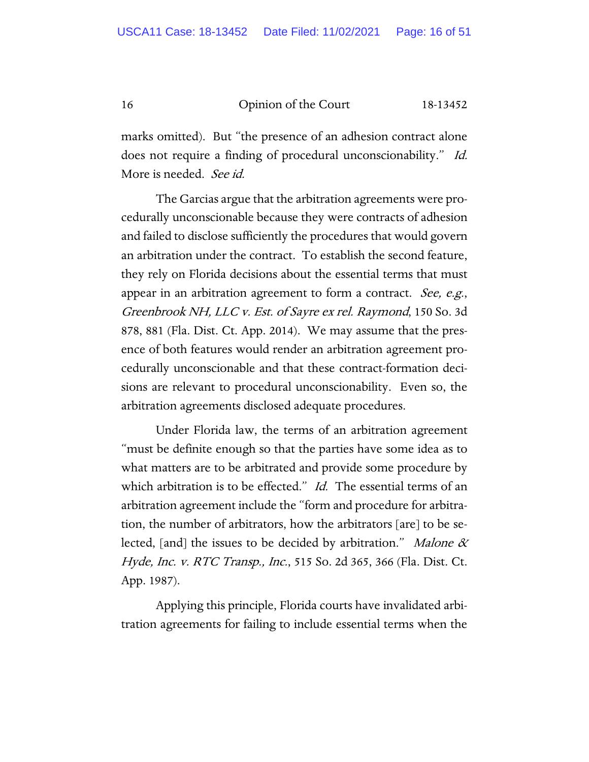marks omitted). But "the presence of an adhesion contract alone does not require a finding of procedural unconscionability." Id. More is needed. See id.

The Garcias argue that the arbitration agreements were procedurally unconscionable because they were contracts of adhesion and failed to disclose sufficiently the procedures that would govern an arbitration under the contract. To establish the second feature, they rely on Florida decisions about the essential terms that must appear in an arbitration agreement to form a contract. See, e.g., Greenbrook NH, LLC v. Est. of Sayre ex rel. Raymond, 150 So. 3d 878, 881 (Fla. Dist. Ct. App. 2014). We may assume that the presence of both features would render an arbitration agreement procedurally unconscionable and that these contract-formation decisions are relevant to procedural unconscionability. Even so, the arbitration agreements disclosed adequate procedures.

Under Florida law, the terms of an arbitration agreement "must be definite enough so that the parties have some idea as to what matters are to be arbitrated and provide some procedure by which arbitration is to be effected." *Id.* The essential terms of an arbitration agreement include the "form and procedure for arbitration, the number of arbitrators, how the arbitrators [are] to be selected, [and] the issues to be decided by arbitration." *Malone*  $\alpha$ Hyde, Inc. v. RTC Transp., Inc., 515 So. 2d 365, 366 (Fla. Dist. Ct. App. 1987).

Applying this principle, Florida courts have invalidated arbitration agreements for failing to include essential terms when the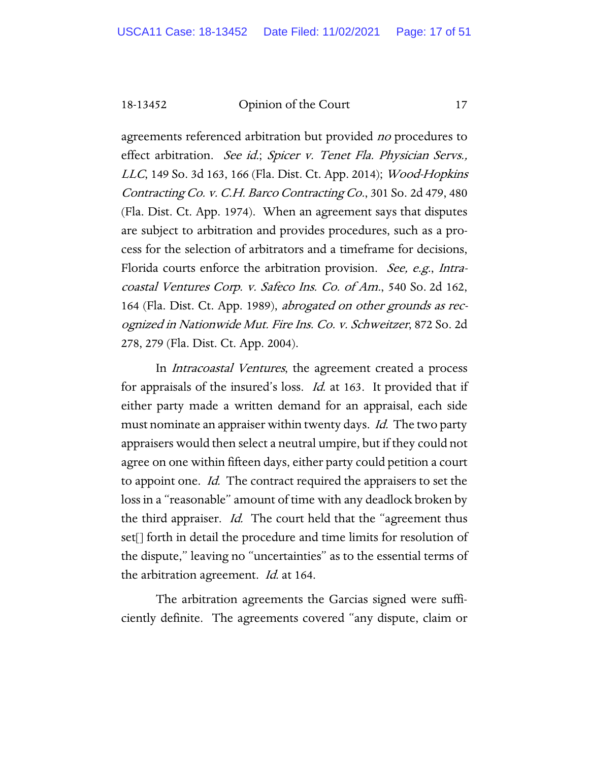agreements referenced arbitration but provided *no* procedures to effect arbitration. See id.; Spicer v. Tenet Fla. Physician Servs., LLC, 149 So. 3d 163, 166 (Fla. Dist. Ct. App. 2014); Wood-Hopkins Contracting Co. v. C.H. Barco Contracting Co., 301 So. 2d 479, 480 (Fla. Dist. Ct. App. 1974). When an agreement says that disputes are subject to arbitration and provides procedures, such as a process for the selection of arbitrators and a timeframe for decisions, Florida courts enforce the arbitration provision. *See, e.g.*, *Intra*coastal Ventures Corp. v. Safeco Ins. Co. of Am., 540 So. 2d 162, 164 (Fla. Dist. Ct. App. 1989), abrogated on other grounds as recognized in Nationwide Mut. Fire Ins. Co. v. Schweitzer, 872 So. 2d 278, 279 (Fla. Dist. Ct. App. 2004).

In Intracoastal Ventures, the agreement created a process for appraisals of the insured's loss. Id. at 163. It provided that if either party made a written demand for an appraisal, each side must nominate an appraiser within twenty days. *Id.* The two party appraisers would then select a neutral umpire, but if they could not agree on one within fifteen days, either party could petition a court to appoint one. *Id.* The contract required the appraisers to set the loss in a "reasonable" amount of time with any deadlock broken by the third appraiser. Id. The court held that the "agreement thus set[] forth in detail the procedure and time limits for resolution of the dispute," leaving no "uncertainties" as to the essential terms of the arbitration agreement. *Id.* at 164.

The arbitration agreements the Garcias signed were sufficiently definite. The agreements covered "any dispute, claim or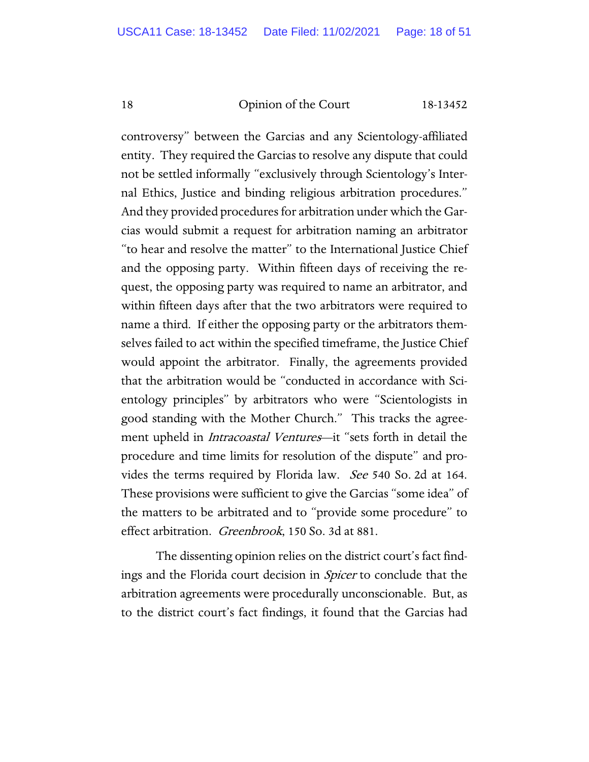controversy" between the Garcias and any Scientology-affiliated entity. They required the Garcias to resolve any dispute that could not be settled informally "exclusively through Scientology's Internal Ethics, Justice and binding religious arbitration procedures." And they provided procedures for arbitration under which the Garcias would submit a request for arbitration naming an arbitrator "to hear and resolve the matter" to the International Justice Chief and the opposing party. Within fifteen days of receiving the request, the opposing party was required to name an arbitrator, and within fifteen days after that the two arbitrators were required to name a third. If either the opposing party or the arbitrators themselves failed to act within the specified timeframe, the Justice Chief would appoint the arbitrator. Finally, the agreements provided that the arbitration would be "conducted in accordance with Scientology principles" by arbitrators who were "Scientologists in good standing with the Mother Church." This tracks the agreement upheld in *Intracoastal Ventures*—it "sets forth in detail the procedure and time limits for resolution of the dispute" and provides the terms required by Florida law. *See* 540 So. 2d at 164. These provisions were sufficient to give the Garcias "some idea" of the matters to be arbitrated and to "provide some procedure" to effect arbitration. *Greenbrook*, 150 So. 3d at 881.

The dissenting opinion relies on the district court's fact findings and the Florida court decision in Spicer to conclude that the arbitration agreements were procedurally unconscionable. But, as to the district court's fact findings, it found that the Garcias had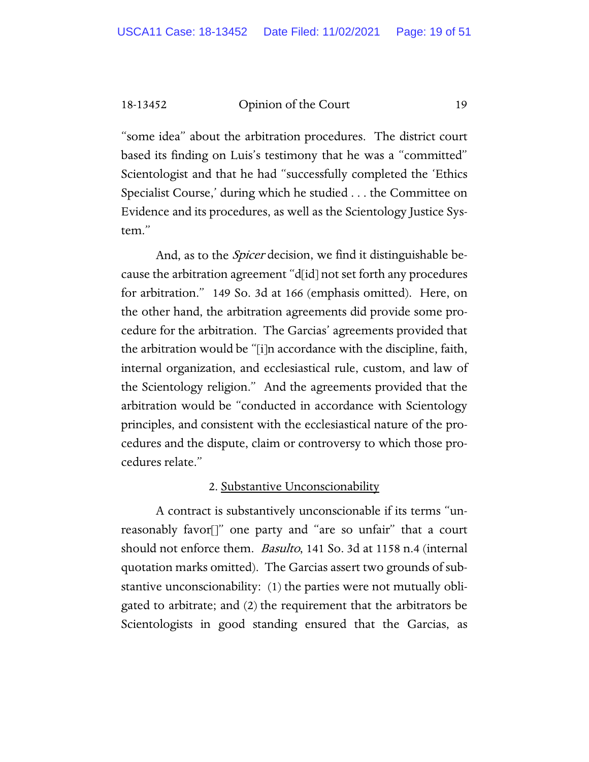"some idea" about the arbitration procedures. The district court based its finding on Luis's testimony that he was a "committed" Scientologist and that he had "successfully completed the 'Ethics Specialist Course,' during which he studied . . . the Committee on Evidence and its procedures, as well as the Scientology Justice System."

And, as to the *Spicer* decision, we find it distinguishable because the arbitration agreement "d[id] not set forth any procedures for arbitration." 149 So. 3d at 166 (emphasis omitted). Here, on the other hand, the arbitration agreements did provide some procedure for the arbitration. The Garcias' agreements provided that the arbitration would be "[i]n accordance with the discipline, faith, internal organization, and ecclesiastical rule, custom, and law of the Scientology religion." And the agreements provided that the arbitration would be "conducted in accordance with Scientology principles, and consistent with the ecclesiastical nature of the procedures and the dispute, claim or controversy to which those procedures relate."

#### 2. Substantive Unconscionability

A contract is substantively unconscionable if its terms "unreasonably favor[]" one party and "are so unfair" that a court should not enforce them. *Basulto*, 141 So. 3d at 1158 n.4 (internal quotation marks omitted). The Garcias assert two grounds of substantive unconscionability: (1) the parties were not mutually obligated to arbitrate; and (2) the requirement that the arbitrators be Scientologists in good standing ensured that the Garcias, as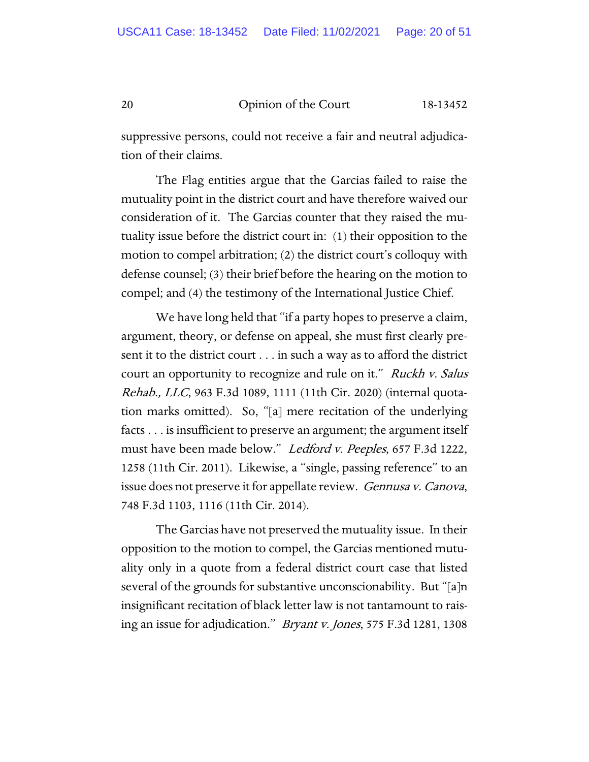suppressive persons, could not receive a fair and neutral adjudication of their claims.

The Flag entities argue that the Garcias failed to raise the mutuality point in the district court and have therefore waived our consideration of it. The Garcias counter that they raised the mutuality issue before the district court in: (1) their opposition to the motion to compel arbitration; (2) the district court's colloquy with defense counsel; (3) their brief before the hearing on the motion to compel; and (4) the testimony of the International Justice Chief.

We have long held that "if a party hopes to preserve a claim, argument, theory, or defense on appeal, she must first clearly present it to the district court . . . in such a way as to afford the district court an opportunity to recognize and rule on it." Ruckh v. Salus Rehab., LLC, 963 F.3d 1089, 1111 (11th Cir. 2020) (internal quotation marks omitted). So, "[a] mere recitation of the underlying facts . . . is insufficient to preserve an argument; the argument itself must have been made below." *Ledford v. Peeples*, 657 F.3d 1222, 1258 (11th Cir. 2011). Likewise, a "single, passing reference" to an issue does not preserve it for appellate review. Gennusa v. Canova, 748 F.3d 1103, 1116 (11th Cir. 2014).

The Garcias have not preserved the mutuality issue. In their opposition to the motion to compel, the Garcias mentioned mutuality only in a quote from a federal district court case that listed several of the grounds for substantive unconscionability. But "[a]n insignificant recitation of black letter law is not tantamount to raising an issue for adjudication." Bryant v. Jones, 575 F.3d 1281, 1308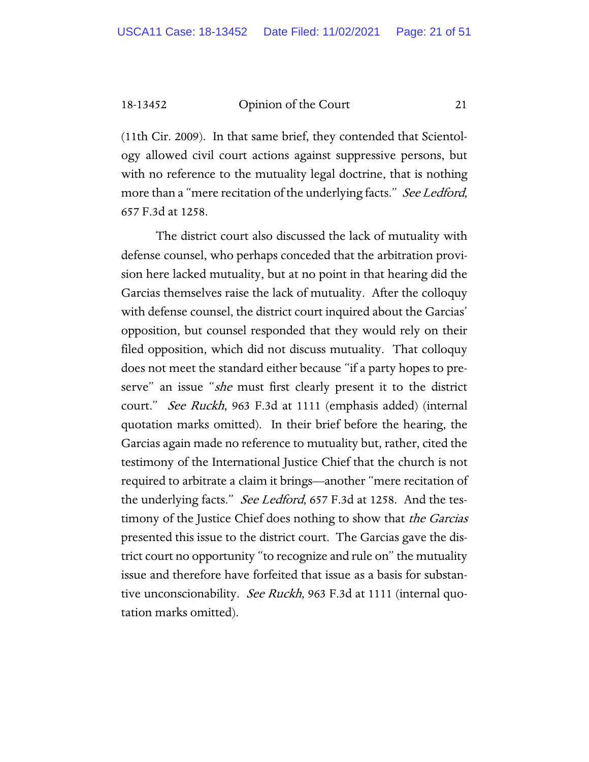(11th Cir. 2009). In that same brief, they contended that Scientology allowed civil court actions against suppressive persons, but with no reference to the mutuality legal doctrine, that is nothing more than a "mere recitation of the underlying facts." See Ledford, 657 F.3d at 1258.

The district court also discussed the lack of mutuality with defense counsel, who perhaps conceded that the arbitration provision here lacked mutuality, but at no point in that hearing did the Garcias themselves raise the lack of mutuality. After the colloquy with defense counsel, the district court inquired about the Garcias' opposition, but counsel responded that they would rely on their filed opposition, which did not discuss mutuality. That colloquy does not meet the standard either because "if a party hopes to preserve" an issue "she must first clearly present it to the district court." See Ruckh, 963 F.3d at 1111 (emphasis added) (internal quotation marks omitted). In their brief before the hearing, the Garcias again made no reference to mutuality but, rather, cited the testimony of the International Justice Chief that the church is not required to arbitrate a claim it brings—another "mere recitation of the underlying facts." See Ledford, 657 F.3d at 1258. And the testimony of the Justice Chief does nothing to show that *the Garcias* presented this issue to the district court. The Garcias gave the district court no opportunity "to recognize and rule on" the mutuality issue and therefore have forfeited that issue as a basis for substantive unconscionability. See Ruckh, 963 F.3d at 1111 (internal quotation marks omitted).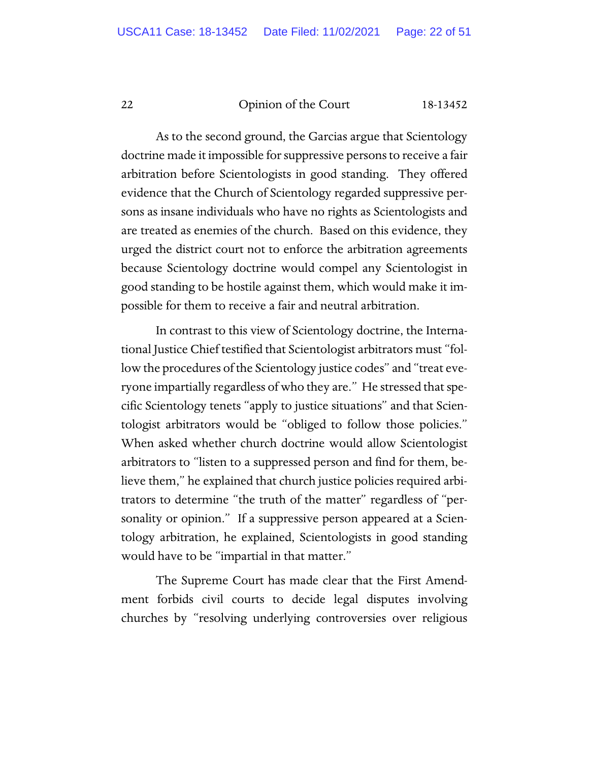As to the second ground, the Garcias argue that Scientology doctrine made it impossible for suppressive persons to receive a fair arbitration before Scientologists in good standing. They offered evidence that the Church of Scientology regarded suppressive persons as insane individuals who have no rights as Scientologists and are treated as enemies of the church. Based on this evidence, they urged the district court not to enforce the arbitration agreements because Scientology doctrine would compel any Scientologist in good standing to be hostile against them, which would make it impossible for them to receive a fair and neutral arbitration.

In contrast to this view of Scientology doctrine, the International Justice Chief testified that Scientologist arbitrators must "follow the procedures of the Scientology justice codes" and "treat everyone impartially regardless of who they are." He stressed that specific Scientology tenets "apply to justice situations" and that Scientologist arbitrators would be "obliged to follow those policies." When asked whether church doctrine would allow Scientologist arbitrators to "listen to a suppressed person and find for them, believe them," he explained that church justice policies required arbitrators to determine "the truth of the matter" regardless of "personality or opinion." If a suppressive person appeared at a Scientology arbitration, he explained, Scientologists in good standing would have to be "impartial in that matter."

The Supreme Court has made clear that the First Amendment forbids civil courts to decide legal disputes involving churches by "resolving underlying controversies over religious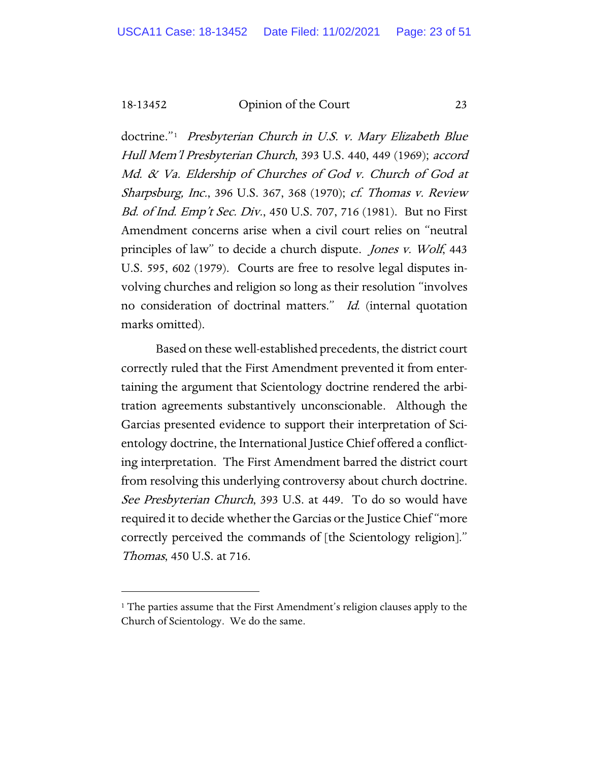doctrine."[1](#page-22-0) Presbyterian Church in U.S. v. Mary Elizabeth Blue Hull Mem'l Presbyterian Church, 393 U.S. 440, 449 (1969); accord Md. & Va. Eldership of Churches of God v. Church of God at Sharpsburg, Inc., 396 U.S. 367, 368 (1970); cf. Thomas v. Review Bd. of Ind. Emp't Sec. Div., 450 U.S. 707, 716 (1981). But no First Amendment concerns arise when a civil court relies on "neutral principles of law" to decide a church dispute. Jones v. Wolf, 443 U.S. 595, 602 (1979). Courts are free to resolve legal disputes involving churches and religion so long as their resolution "involves no consideration of doctrinal matters." Id. (internal quotation marks omitted).

Based on these well-established precedents, the district court correctly ruled that the First Amendment prevented it from entertaining the argument that Scientology doctrine rendered the arbitration agreements substantively unconscionable. Although the Garcias presented evidence to support their interpretation of Scientology doctrine, the International Justice Chief offered a conflicting interpretation. The First Amendment barred the district court from resolving this underlying controversy about church doctrine. See Presbyterian Church, 393 U.S. at 449. To do so would have required it to decide whether the Garcias or the Justice Chief "more correctly perceived the commands of [the Scientology religion]." Thomas, 450 U.S. at 716.

<span id="page-22-0"></span><sup>&</sup>lt;sup>1</sup> The parties assume that the First Amendment's religion clauses apply to the Church of Scientology. We do the same.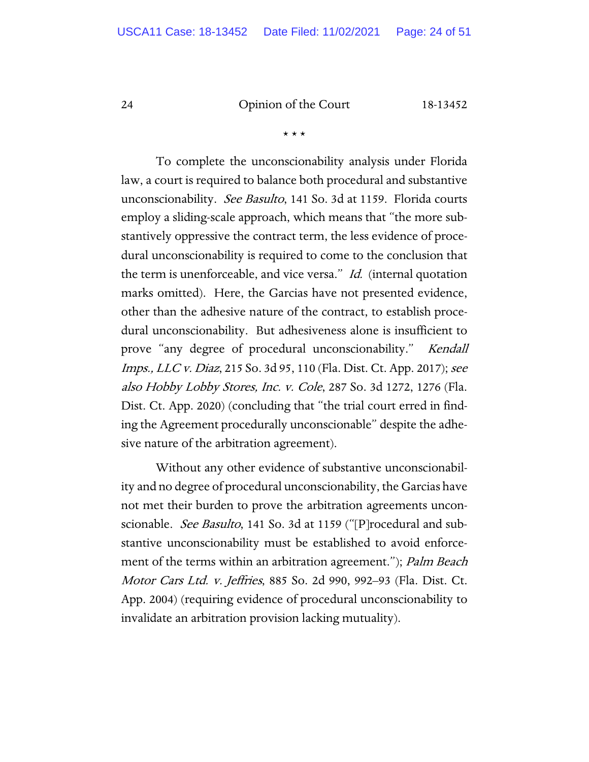\* \* \*

To complete the unconscionability analysis under Florida law, a court is required to balance both procedural and substantive unconscionability. See Basulto, 141 So. 3d at 1159. Florida courts employ a sliding-scale approach, which means that "the more substantively oppressive the contract term, the less evidence of procedural unconscionability is required to come to the conclusion that the term is unenforceable, and vice versa." Id. (internal quotation marks omitted). Here, the Garcias have not presented evidence, other than the adhesive nature of the contract, to establish procedural unconscionability. But adhesiveness alone is insufficient to prove "any degree of procedural unconscionability." Kendall *Imps., LLC v. Diaz, 215 So. 3d 95, 110 (Fla. Dist. Ct. App. 2017); see* also Hobby Lobby Stores, Inc. v. Cole, 287 So. 3d 1272, 1276 (Fla. Dist. Ct. App. 2020) (concluding that "the trial court erred in finding the Agreement procedurally unconscionable" despite the adhesive nature of the arbitration agreement).

Without any other evidence of substantive unconscionability and no degree of procedural unconscionability, the Garcias have not met their burden to prove the arbitration agreements unconscionable. *See Basulto*, 141 So. 3d at 1159 ("[P]rocedural and substantive unconscionability must be established to avoid enforcement of the terms within an arbitration agreement."); Palm Beach Motor Cars Ltd. v. Jeffries, 885 So. 2d 990, 992–93 (Fla. Dist. Ct. App. 2004) (requiring evidence of procedural unconscionability to invalidate an arbitration provision lacking mutuality).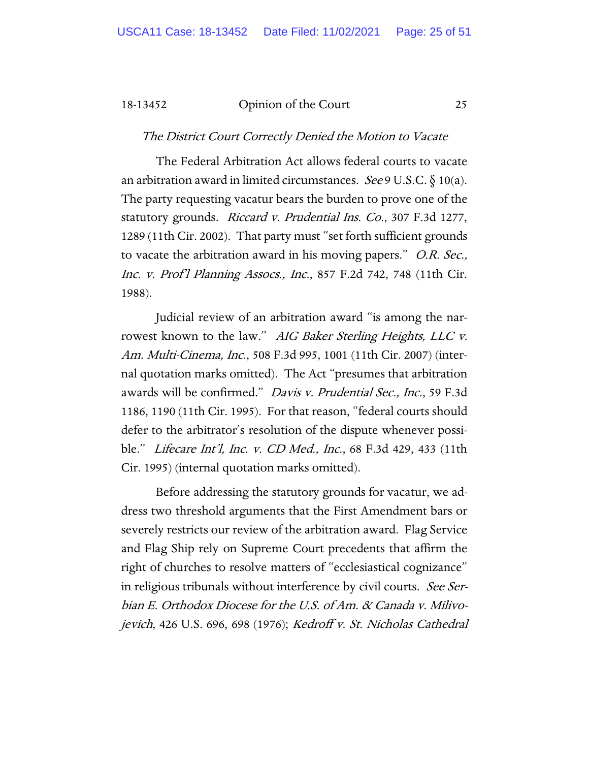The District Court Correctly Denied the Motion to Vacate

The Federal Arbitration Act allows federal courts to vacate an arbitration award in limited circumstances. See 9 U.S.C.  $\S$  10(a). The party requesting vacatur bears the burden to prove one of the statutory grounds. Riccard v. Prudential Ins. Co., 307 F.3d 1277, 1289 (11th Cir. 2002). That party must "set forth sufficient grounds to vacate the arbitration award in his moving papers." *O.R. Sec.*, Inc. v. Prof'l Planning Assocs., Inc., 857 F.2d 742, 748 (11th Cir. 1988).

Judicial review of an arbitration award "is among the narrowest known to the law." AIG Baker Sterling Heights, LLC v. Am. Multi-Cinema, Inc., 508 F.3d 995, 1001 (11th Cir. 2007) (internal quotation marks omitted). The Act "presumes that arbitration awards will be confirmed." Davis v. Prudential Sec., Inc., 59 F.3d 1186, 1190 (11th Cir. 1995). For that reason, "federal courts should defer to the arbitrator's resolution of the dispute whenever possible." Lifecare Int'l, Inc. v. CD Med., Inc., 68 F.3d 429, 433 (11th Cir. 1995) (internal quotation marks omitted).

Before addressing the statutory grounds for vacatur, we address two threshold arguments that the First Amendment bars or severely restricts our review of the arbitration award. Flag Service and Flag Ship rely on Supreme Court precedents that affirm the right of churches to resolve matters of "ecclesiastical cognizance" in religious tribunals without interference by civil courts. See Serbian E. Orthodox Diocese for the U.S. of Am. & Canada v. Milivojevich, 426 U.S. 696, 698 (1976); Kedroff v. St. Nicholas Cathedral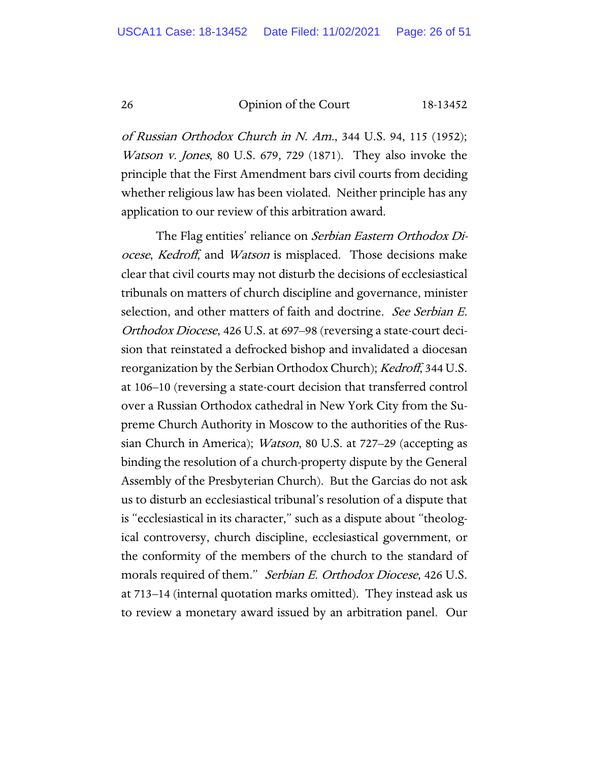of Russian Orthodox Church in N. Am., 344 U.S. 94, 115 (1952); Watson v. Jones, 80 U.S. 679, 729 (1871). They also invoke the principle that the First Amendment bars civil courts from deciding whether religious law has been violated. Neither principle has any application to our review of this arbitration award.

The Flag entities' reliance on Serbian Eastern Orthodox Diocese, Kedroff, and Watson is misplaced. Those decisions make clear that civil courts may not disturb the decisions of ecclesiastical tribunals on matters of church discipline and governance, minister selection, and other matters of faith and doctrine. See Serbian E. Orthodox Diocese, 426 U.S. at 697–98 (reversing a state-court decision that reinstated a defrocked bishop and invalidated a diocesan reorganization by the Serbian Orthodox Church); *Kedroff*, 344 U.S. at 106–10 (reversing a state-court decision that transferred control over a Russian Orthodox cathedral in New York City from the Supreme Church Authority in Moscow to the authorities of the Russian Church in America); Watson, 80 U.S. at 727–29 (accepting as binding the resolution of a church-property dispute by the General Assembly of the Presbyterian Church). But the Garcias do not ask us to disturb an ecclesiastical tribunal's resolution of a dispute that is "ecclesiastical in its character," such as a dispute about "theological controversy, church discipline, ecclesiastical government, or the conformity of the members of the church to the standard of morals required of them." Serbian E. Orthodox Diocese, 426 U.S. at 713–14 (internal quotation marks omitted). They instead ask us to review a monetary award issued by an arbitration panel. Our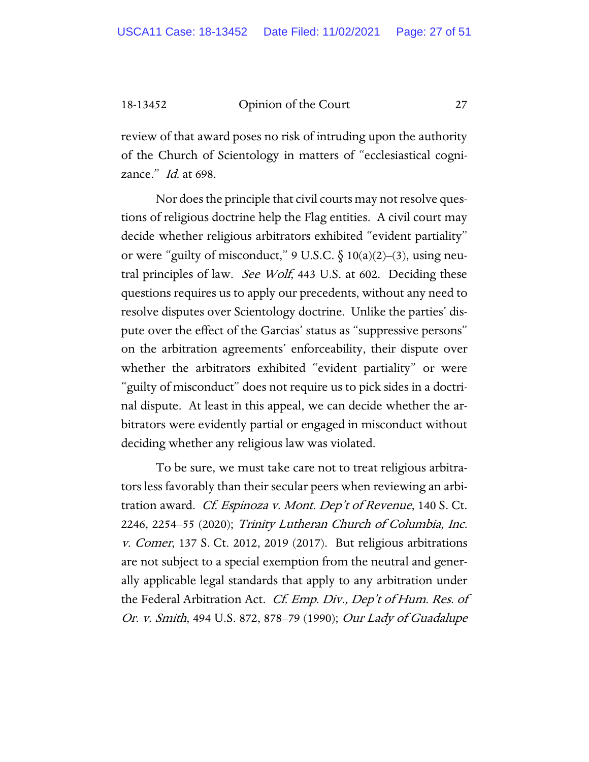review of that award poses no risk of intruding upon the authority of the Church of Scientology in matters of "ecclesiastical cognizance." *Id.* at 698.

Nor does the principle that civil courts may not resolve questions of religious doctrine help the Flag entities. A civil court may decide whether religious arbitrators exhibited "evident partiality" or were "guilty of misconduct,"  $9 \text{ U.S.C.} \S 10(a)(2)–(3)$ , using neutral principles of law. See Wolf, 443 U.S. at 602. Deciding these questions requires us to apply our precedents, without any need to resolve disputes over Scientology doctrine. Unlike the parties' dispute over the effect of the Garcias' status as "suppressive persons" on the arbitration agreements' enforceability, their dispute over whether the arbitrators exhibited "evident partiality" or were "guilty of misconduct" does not require us to pick sides in a doctrinal dispute. At least in this appeal, we can decide whether the arbitrators were evidently partial or engaged in misconduct without deciding whether any religious law was violated.

To be sure, we must take care not to treat religious arbitrators less favorably than their secular peers when reviewing an arbitration award. *Cf. Espinoza v. Mont. Dep't of Revenue*, 140 S. Ct. 2246, 2254–55 (2020); Trinity Lutheran Church of Columbia, Inc. v. Comer, 137 S. Ct. 2012, 2019 (2017). But religious arbitrations are not subject to a special exemption from the neutral and generally applicable legal standards that apply to any arbitration under the Federal Arbitration Act. Cf. Emp. Div., Dep't of Hum. Res. of Or. v. Smith, 494 U.S. 872, 878–79 (1990); Our Lady of Guadalupe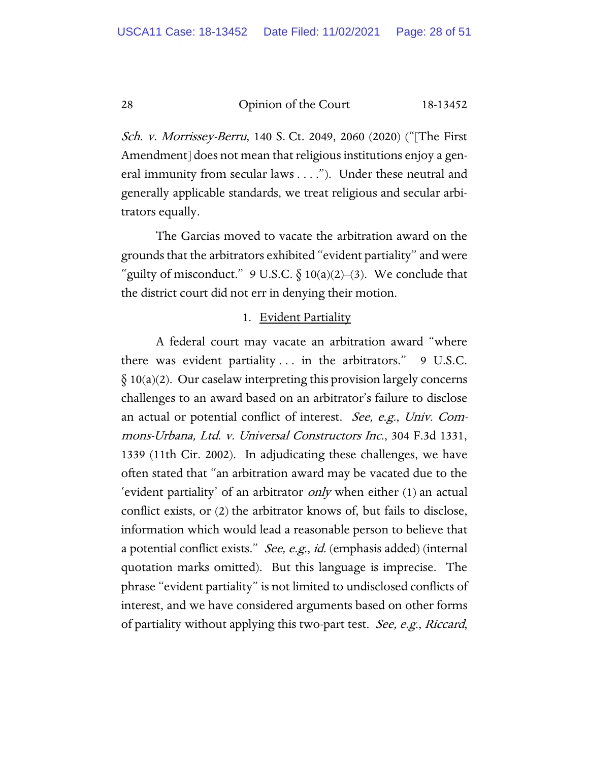Sch. v. Morrissey-Berru, 140 S. Ct. 2049, 2060 (2020) ("[The First Amendment] does not mean that religious institutions enjoy a general immunity from secular laws . . . ."). Under these neutral and generally applicable standards, we treat religious and secular arbitrators equally.

The Garcias moved to vacate the arbitration award on the grounds that the arbitrators exhibited "evident partiality" and were "guilty of misconduct." 9 U.S.C.  $\S 10(a)(2)-(3)$ . We conclude that the district court did not err in denying their motion.

#### 1. Evident Partiality

A federal court may vacate an arbitration award "where there was evident partiality ... in the arbitrators." 9 U.S.C.  $\S 10(a)(2)$ . Our caselaw interpreting this provision largely concerns challenges to an award based on an arbitrator's failure to disclose an actual or potential conflict of interest. See, e.g., Univ. Commons-Urbana, Ltd. v. Universal Constructors Inc., 304 F.3d 1331, 1339 (11th Cir. 2002). In adjudicating these challenges, we have often stated that "an arbitration award may be vacated due to the 'evident partiality' of an arbitrator only when either (1) an actual conflict exists, or (2) the arbitrator knows of, but fails to disclose, information which would lead a reasonable person to believe that a potential conflict exists." *See, e.g., id.* (emphasis added) (internal quotation marks omitted). But this language is imprecise. The phrase "evident partiality" is not limited to undisclosed conflicts of interest, and we have considered arguments based on other forms of partiality without applying this two-part test. See, e.g., Riccard,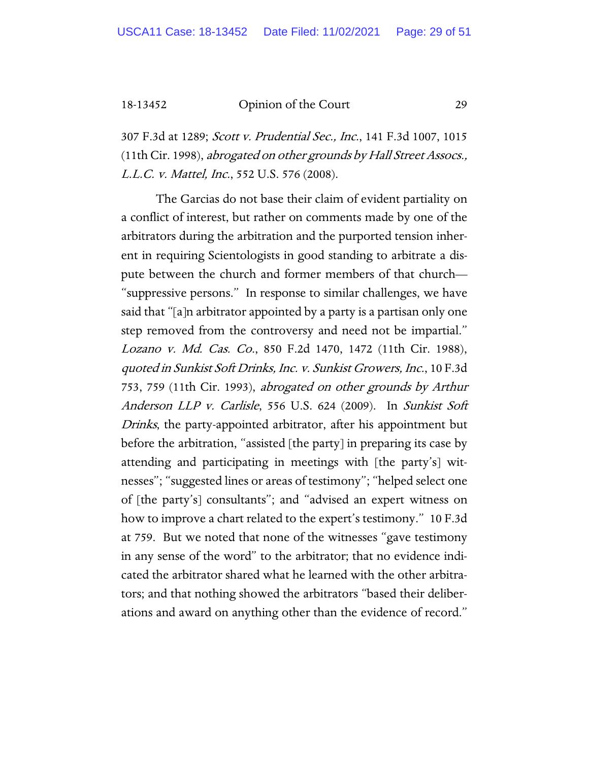307 F.3d at 1289; Scott v. Prudential Sec., Inc., 141 F.3d 1007, 1015 (11th Cir. 1998), abrogated on other grounds by Hall Street Assocs., L.L.C. v. Mattel, Inc., 552 U.S. 576 (2008).

The Garcias do not base their claim of evident partiality on a conflict of interest, but rather on comments made by one of the arbitrators during the arbitration and the purported tension inherent in requiring Scientologists in good standing to arbitrate a dispute between the church and former members of that church— "suppressive persons." In response to similar challenges, we have said that "[a]n arbitrator appointed by a party is a partisan only one step removed from the controversy and need not be impartial." Lozano v. Md. Cas. Co., 850 F.2d 1470, 1472 (11th Cir. 1988), quoted in Sunkist Soft Drinks, Inc. v. Sunkist Growers, Inc., 10 F.3d 753, 759 (11th Cir. 1993), abrogated on other grounds by Arthur Anderson LLP v. Carlisle, 556 U.S. 624 (2009). In Sunkist Soft Drinks, the party-appointed arbitrator, after his appointment but before the arbitration, "assisted [the party] in preparing its case by attending and participating in meetings with [the party's] witnesses"; "suggested lines or areas of testimony"; "helped select one of [the party's] consultants"; and "advised an expert witness on how to improve a chart related to the expert's testimony." 10 F.3d at 759. But we noted that none of the witnesses "gave testimony in any sense of the word" to the arbitrator; that no evidence indicated the arbitrator shared what he learned with the other arbitrators; and that nothing showed the arbitrators "based their deliberations and award on anything other than the evidence of record."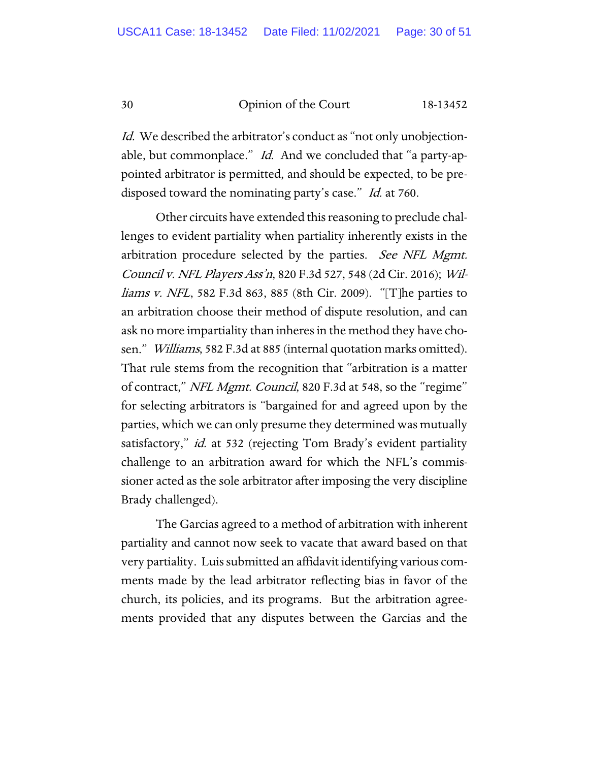Id. We described the arbitrator's conduct as "not only unobjectionable, but commonplace." *Id.* And we concluded that "a party-appointed arbitrator is permitted, and should be expected, to be predisposed toward the nominating party's case." Id. at 760.

Other circuits have extended this reasoning to preclude challenges to evident partiality when partiality inherently exists in the arbitration procedure selected by the parties. See NFL Mgmt. Council v. NFL Players Ass'n, 820 F.3d 527, 548 (2d Cir. 2016); Williams v. NFL, 582 F.3d 863, 885 (8th Cir. 2009). "[T]he parties to an arbitration choose their method of dispute resolution, and can ask no more impartiality than inheres in the method they have chosen." Williams, 582 F.3d at 885 (internal quotation marks omitted). That rule stems from the recognition that "arbitration is a matter of contract," NFL Mgmt. Council, 820 F.3d at 548, so the "regime" for selecting arbitrators is "bargained for and agreed upon by the parties, which we can only presume they determined was mutually satisfactory," *id.* at 532 (rejecting Tom Brady's evident partiality challenge to an arbitration award for which the NFL's commissioner acted as the sole arbitrator after imposing the very discipline Brady challenged).

The Garcias agreed to a method of arbitration with inherent partiality and cannot now seek to vacate that award based on that very partiality. Luis submitted an affidavit identifying various comments made by the lead arbitrator reflecting bias in favor of the church, its policies, and its programs. But the arbitration agreements provided that any disputes between the Garcias and the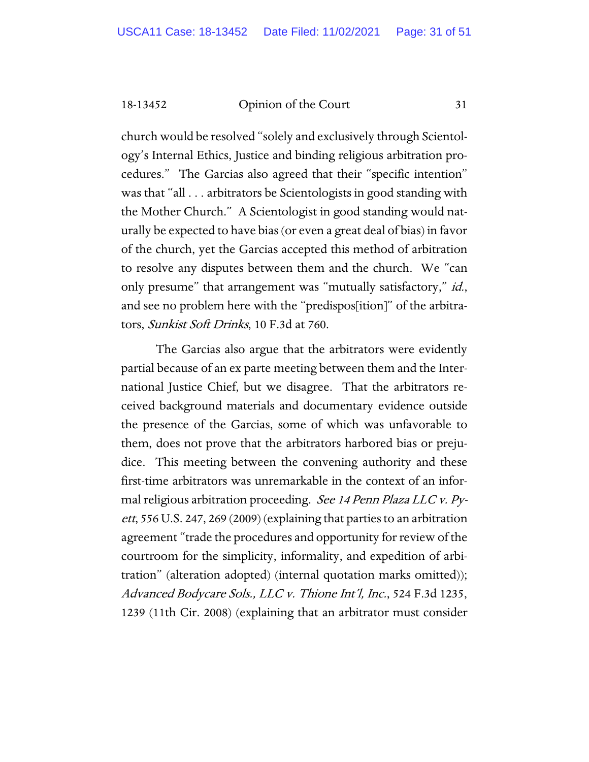church would be resolved "solely and exclusively through Scientology's Internal Ethics, Justice and binding religious arbitration procedures." The Garcias also agreed that their "specific intention" was that "all . . . arbitrators be Scientologists in good standing with the Mother Church." A Scientologist in good standing would naturally be expected to have bias (or even a great deal of bias) in favor of the church, yet the Garcias accepted this method of arbitration to resolve any disputes between them and the church. We "can only presume" that arrangement was "mutually satisfactory," *id.*, and see no problem here with the "predispos[ition]" of the arbitrators, Sunkist Soft Drinks, 10 F.3d at 760.

The Garcias also argue that the arbitrators were evidently partial because of an ex parte meeting between them and the International Justice Chief, but we disagree. That the arbitrators received background materials and documentary evidence outside the presence of the Garcias, some of which was unfavorable to them, does not prove that the arbitrators harbored bias or prejudice. This meeting between the convening authority and these first-time arbitrators was unremarkable in the context of an informal religious arbitration proceeding. See 14 Penn Plaza LLC v. Pyett, 556 U.S. 247, 269 (2009) (explaining that parties to an arbitration agreement "trade the procedures and opportunity for review of the courtroom for the simplicity, informality, and expedition of arbitration" (alteration adopted) (internal quotation marks omitted)); Advanced Bodycare Sols., LLC v. Thione Int'l, Inc., 524 F.3d 1235, 1239 (11th Cir. 2008) (explaining that an arbitrator must consider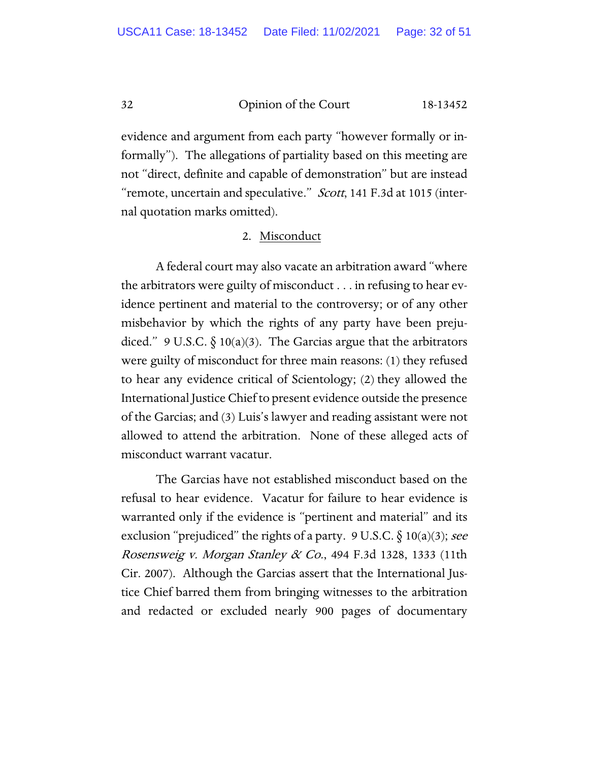evidence and argument from each party "however formally or informally"). The allegations of partiality based on this meeting are not "direct, definite and capable of demonstration" but are instead "remote, uncertain and speculative." Scott, 141 F.3d at 1015 (internal quotation marks omitted).

#### 2. Misconduct

A federal court may also vacate an arbitration award "where the arbitrators were guilty of misconduct . . . in refusing to hear evidence pertinent and material to the controversy; or of any other misbehavior by which the rights of any party have been prejudiced." 9 U.S.C.  $\S$  10(a)(3). The Garcias argue that the arbitrators were guilty of misconduct for three main reasons: (1) they refused to hear any evidence critical of Scientology; (2) they allowed the International Justice Chief to present evidence outside the presence of the Garcias; and (3) Luis's lawyer and reading assistant were not allowed to attend the arbitration. None of these alleged acts of misconduct warrant vacatur.

The Garcias have not established misconduct based on the refusal to hear evidence. Vacatur for failure to hear evidence is warranted only if the evidence is "pertinent and material" and its exclusion "prejudiced" the rights of a party. 9 U.S.C.  $\S$  10(a)(3); see Rosensweig v. Morgan Stanley & Co., 494 F.3d 1328, 1333 (11th Cir. 2007). Although the Garcias assert that the International Justice Chief barred them from bringing witnesses to the arbitration and redacted or excluded nearly 900 pages of documentary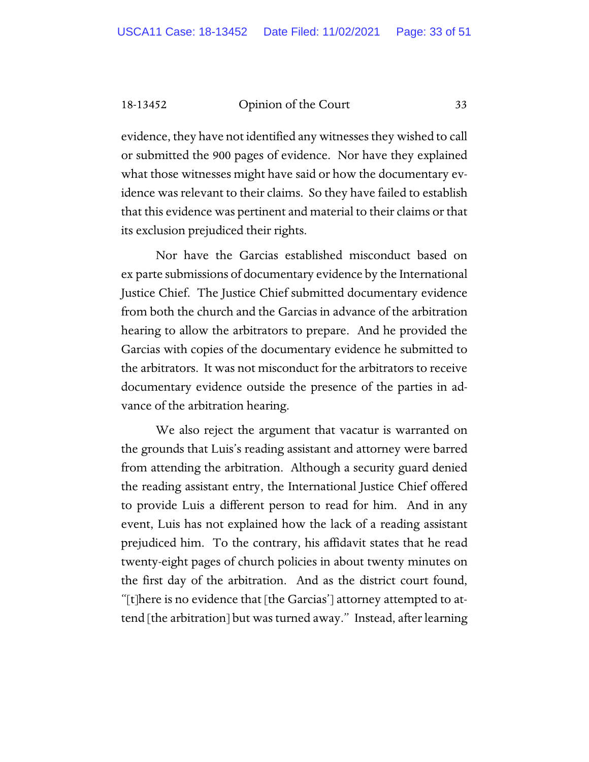evidence, they have not identified any witnesses they wished to call or submitted the 900 pages of evidence. Nor have they explained what those witnesses might have said or how the documentary evidence was relevant to their claims. So they have failed to establish that this evidence was pertinent and material to their claims or that its exclusion prejudiced their rights.

Nor have the Garcias established misconduct based on ex parte submissions of documentary evidence by the International Justice Chief. The Justice Chief submitted documentary evidence from both the church and the Garcias in advance of the arbitration hearing to allow the arbitrators to prepare. And he provided the Garcias with copies of the documentary evidence he submitted to the arbitrators. It was not misconduct for the arbitrators to receive documentary evidence outside the presence of the parties in advance of the arbitration hearing.

We also reject the argument that vacatur is warranted on the grounds that Luis's reading assistant and attorney were barred from attending the arbitration. Although a security guard denied the reading assistant entry, the International Justice Chief offered to provide Luis a different person to read for him. And in any event, Luis has not explained how the lack of a reading assistant prejudiced him. To the contrary, his affidavit states that he read twenty-eight pages of church policies in about twenty minutes on the first day of the arbitration. And as the district court found, "[t]here is no evidence that [the Garcias'] attorney attempted to attend [the arbitration] but was turned away." Instead, after learning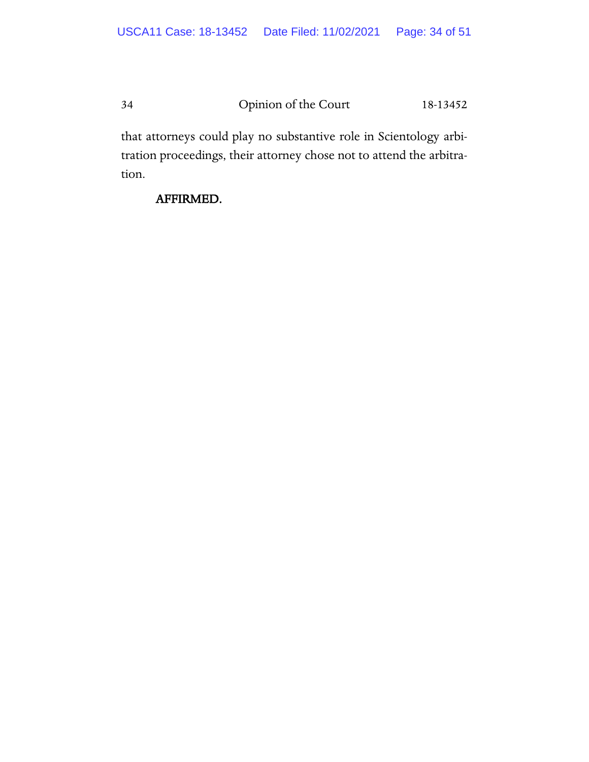that attorneys could play no substantive role in Scientology arbitration proceedings, their attorney chose not to attend the arbitration.

## AFFIRMED.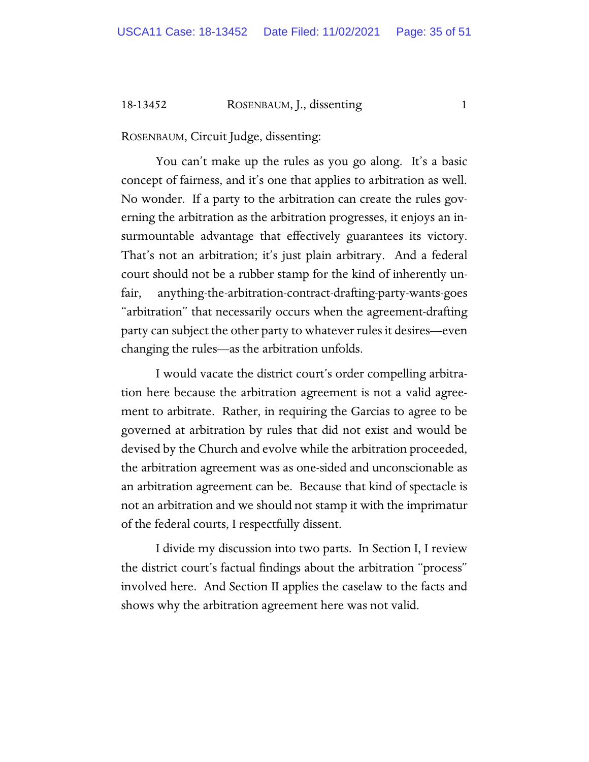#### 18-13452 ROSENBAUM, J., dissenting 1

ROSENBAUM, Circuit Judge, dissenting:

You can't make up the rules as you go along. It's a basic concept of fairness, and it's one that applies to arbitration as well. No wonder. If a party to the arbitration can create the rules governing the arbitration as the arbitration progresses, it enjoys an insurmountable advantage that effectively guarantees its victory. That's not an arbitration; it's just plain arbitrary. And a federal court should not be a rubber stamp for the kind of inherently unfair, anything-the-arbitration-contract-drafting-party-wants-goes "arbitration" that necessarily occurs when the agreement-drafting party can subject the other party to whatever rules it desires—even changing the rules—as the arbitration unfolds.

I would vacate the district court's order compelling arbitration here because the arbitration agreement is not a valid agreement to arbitrate. Rather, in requiring the Garcias to agree to be governed at arbitration by rules that did not exist and would be devised by the Church and evolve while the arbitration proceeded, the arbitration agreement was as one-sided and unconscionable as an arbitration agreement can be. Because that kind of spectacle is not an arbitration and we should not stamp it with the imprimatur of the federal courts, I respectfully dissent.

I divide my discussion into two parts. In Section I, I review the district court's factual findings about the arbitration "process" involved here. And Section II applies the caselaw to the facts and shows why the arbitration agreement here was not valid.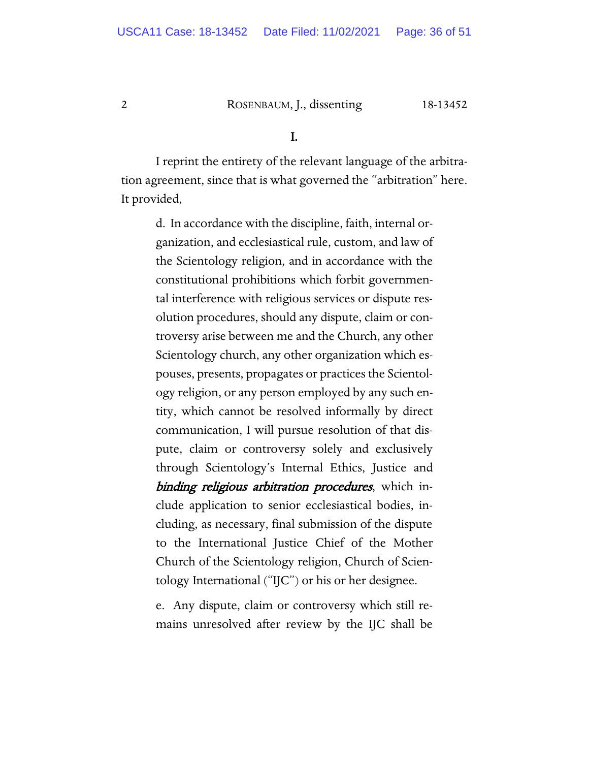#### 2 ROSENBAUM, J., dissenting 18-13452

#### I.

I reprint the entirety of the relevant language of the arbitration agreement, since that is what governed the "arbitration" here. It provided,

> d. In accordance with the discipline, faith, internal organization, and ecclesiastical rule, custom, and law of the Scientology religion, and in accordance with the constitutional prohibitions which forbit governmental interference with religious services or dispute resolution procedures, should any dispute, claim or controversy arise between me and the Church, any other Scientology church, any other organization which espouses, presents, propagates or practices the Scientology religion, or any person employed by any such entity, which cannot be resolved informally by direct communication, I will pursue resolution of that dispute, claim or controversy solely and exclusively through Scientology's Internal Ethics, Justice and binding religious arbitration procedures, which include application to senior ecclesiastical bodies, including, as necessary, final submission of the dispute to the International Justice Chief of the Mother Church of the Scientology religion, Church of Scientology International ("IJC") or his or her designee.

> e. Any dispute, claim or controversy which still remains unresolved after review by the IJC shall be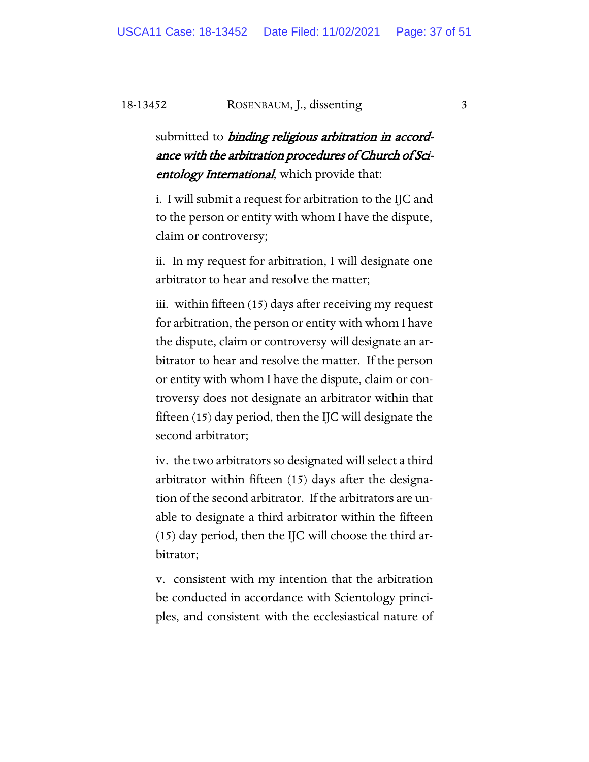#### 18-13452 ROSENBAUM, J., dissenting 3

submitted to *binding religious arbitration in accord*ance with the arbitration procedures of Church of Scientology International, which provide that:

i. I will submit a request for arbitration to the IJC and to the person or entity with whom I have the dispute, claim or controversy;

ii. In my request for arbitration, I will designate one arbitrator to hear and resolve the matter;

iii. within fifteen (15) days after receiving my request for arbitration, the person or entity with whom I have the dispute, claim or controversy will designate an arbitrator to hear and resolve the matter. If the person or entity with whom I have the dispute, claim or controversy does not designate an arbitrator within that fifteen (15) day period, then the IJC will designate the second arbitrator;

iv. the two arbitrators so designated will select a third arbitrator within fifteen (15) days after the designation of the second arbitrator. If the arbitrators are unable to designate a third arbitrator within the fifteen (15) day period, then the IJC will choose the third arbitrator;

v. consistent with my intention that the arbitration be conducted in accordance with Scientology principles, and consistent with the ecclesiastical nature of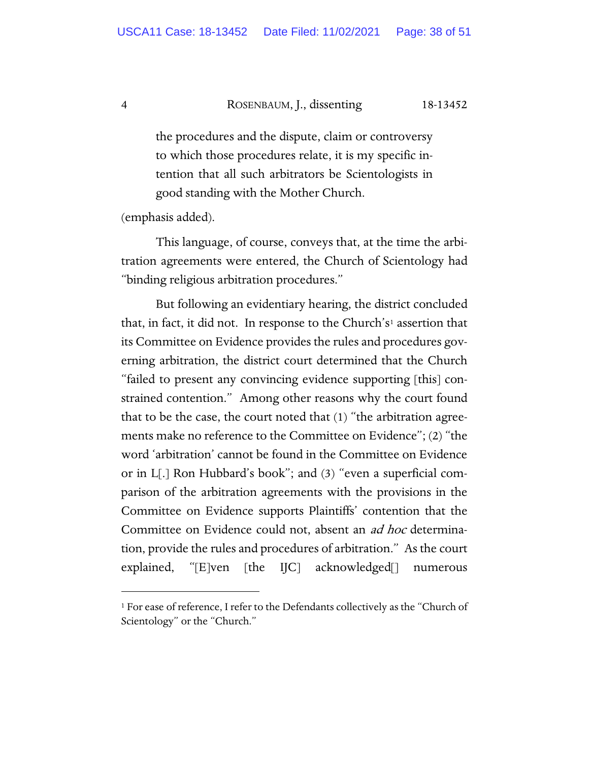#### 4 ROSENBAUM, J., dissenting 18-13452

the procedures and the dispute, claim or controversy to which those procedures relate, it is my specific intention that all such arbitrators be Scientologists in good standing with the Mother Church.

(emphasis added).

This language, of course, conveys that, at the time the arbitration agreements were entered, the Church of Scientology had "binding religious arbitration procedures."

But following an evidentiary hearing, the district concluded that, in fact, it did not. In response to the Church's[1](#page-37-0) assertion that its Committee on Evidence provides the rules and procedures governing arbitration, the district court determined that the Church "failed to present any convincing evidence supporting [this] constrained contention." Among other reasons why the court found that to be the case, the court noted that (1) "the arbitration agreements make no reference to the Committee on Evidence"; (2) "the word 'arbitration' cannot be found in the Committee on Evidence or in L[.] Ron Hubbard's book"; and (3) "even a superficial comparison of the arbitration agreements with the provisions in the Committee on Evidence supports Plaintiffs' contention that the Committee on Evidence could not, absent an *ad hoc* determination, provide the rules and procedures of arbitration." As the court explained, "[E]ven [the IJC] acknowledged[] numerous

<span id="page-37-0"></span><sup>&</sup>lt;sup>1</sup> For ease of reference, I refer to the Defendants collectively as the "Church of Scientology" or the "Church."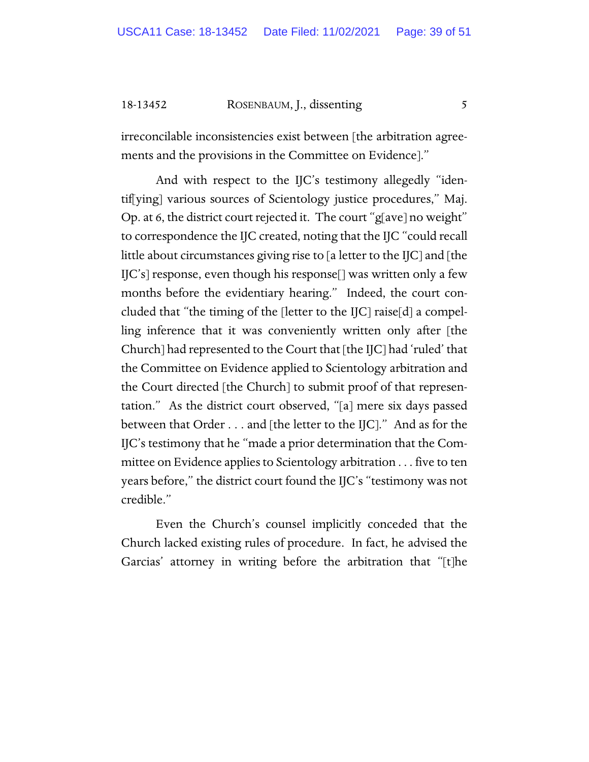18-13452 ROSENBAUM, J., dissenting 5

irreconcilable inconsistencies exist between [the arbitration agreements and the provisions in the Committee on Evidence]."

And with respect to the IJC's testimony allegedly "identif[ying] various sources of Scientology justice procedures," Maj. Op. at 6, the district court rejected it. The court "g[ave] no weight" to correspondence the IJC created, noting that the IJC "could recall little about circumstances giving rise to [a letter to the IJC] and [the IJC's] response, even though his response[] was written only a few months before the evidentiary hearing." Indeed, the court concluded that "the timing of the [letter to the IJC] raise[d] a compelling inference that it was conveniently written only after [the Church] had represented to the Court that [the IJC] had 'ruled' that the Committee on Evidence applied to Scientology arbitration and the Court directed [the Church] to submit proof of that representation." As the district court observed, "[a] mere six days passed between that Order . . . and [the letter to the IJC]." And as for the IJC's testimony that he "made a prior determination that the Committee on Evidence applies to Scientology arbitration . . . five to ten years before," the district court found the IJC's "testimony was not credible."

Even the Church's counsel implicitly conceded that the Church lacked existing rules of procedure. In fact, he advised the Garcias' attorney in writing before the arbitration that "[t]he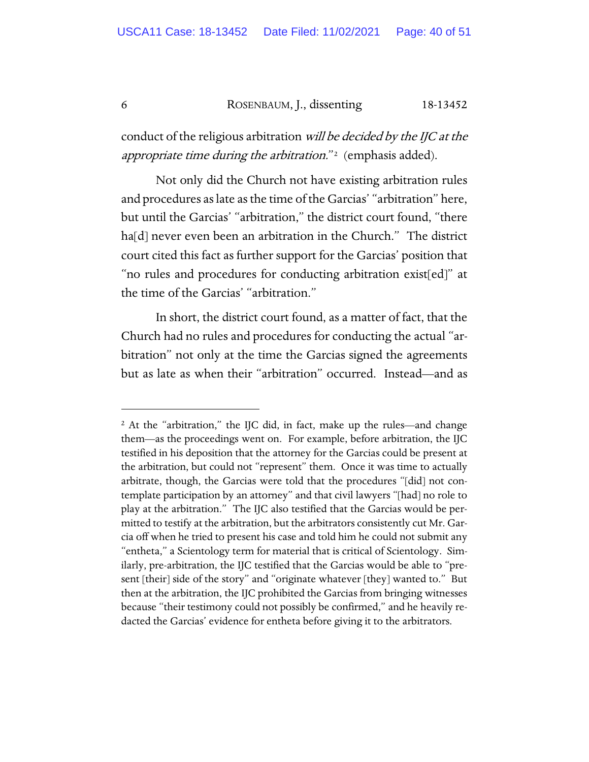#### 6 ROSENBAUM, J., dissenting 18-13452

conduct of the religious arbitration *will be decided by the IJC at the* appropriate time during the arbitration."<sup>[2](#page-39-0)</sup> (emphasis added).

Not only did the Church not have existing arbitration rules and procedures as late as the time of the Garcias' "arbitration" here, but until the Garcias' "arbitration," the district court found, "there ha[d] never even been an arbitration in the Church." The district court cited this fact as further support for the Garcias' position that "no rules and procedures for conducting arbitration exist[ed]" at the time of the Garcias' "arbitration."

In short, the district court found, as a matter of fact, that the Church had no rules and procedures for conducting the actual "arbitration" not only at the time the Garcias signed the agreements but as late as when their "arbitration" occurred. Instead—and as

<span id="page-39-0"></span><sup>&</sup>lt;sup>2</sup> At the "arbitration," the IJC did, in fact, make up the rules—and change them—as the proceedings went on. For example, before arbitration, the IJC testified in his deposition that the attorney for the Garcias could be present at the arbitration, but could not "represent" them. Once it was time to actually arbitrate, though, the Garcias were told that the procedures "[did] not contemplate participation by an attorney" and that civil lawyers "[had] no role to play at the arbitration." The IJC also testified that the Garcias would be permitted to testify at the arbitration, but the arbitrators consistently cut Mr. Garcia off when he tried to present his case and told him he could not submit any "entheta," a Scientology term for material that is critical of Scientology. Similarly, pre-arbitration, the IJC testified that the Garcias would be able to "present [their] side of the story" and "originate whatever [they] wanted to." But then at the arbitration, the IJC prohibited the Garcias from bringing witnesses because "their testimony could not possibly be confirmed," and he heavily redacted the Garcias' evidence for entheta before giving it to the arbitrators.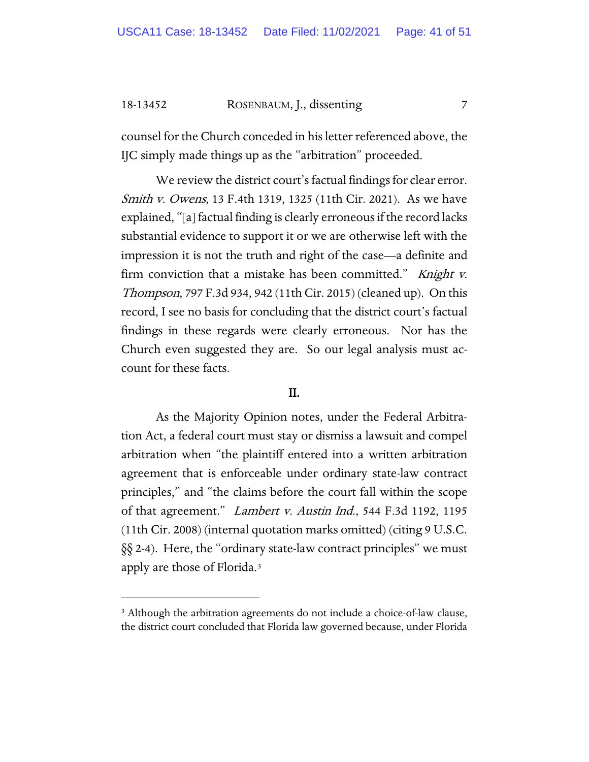18-13452 ROSENBAUM, J., dissenting 7

counsel for the Church conceded in his letter referenced above, the IJC simply made things up as the "arbitration" proceeded.

We review the district court's factual findings for clear error. Smith v. Owens, 13 F.4th 1319, 1325 (11th Cir. 2021). As we have explained, "[a] factual finding is clearly erroneous if the record lacks substantial evidence to support it or we are otherwise left with the impression it is not the truth and right of the case—a definite and firm conviction that a mistake has been committed." Knight v. Thompson, 797 F.3d 934, 942 (11th Cir. 2015) (cleaned up). On this record, I see no basis for concluding that the district court's factual findings in these regards were clearly erroneous. Nor has the Church even suggested they are. So our legal analysis must account for these facts.

#### II.

As the Majority Opinion notes, under the Federal Arbitration Act, a federal court must stay or dismiss a lawsuit and compel arbitration when "the plaintiff entered into a written arbitration agreement that is enforceable under ordinary state-law contract principles," and "the claims before the court fall within the scope of that agreement." *Lambert v. Austin Ind.*, 544 F.3d 1192, 1195 (11th Cir. 2008) (internal quotation marks omitted) (citing 9 U.S.C. §§ 2-4). Here, the "ordinary state-law contract principles" we must apply are those of Florida.[3](#page-40-0)

<span id="page-40-0"></span><sup>&</sup>lt;sup>3</sup> Although the arbitration agreements do not include a choice-of-law clause, the district court concluded that Florida law governed because, under Florida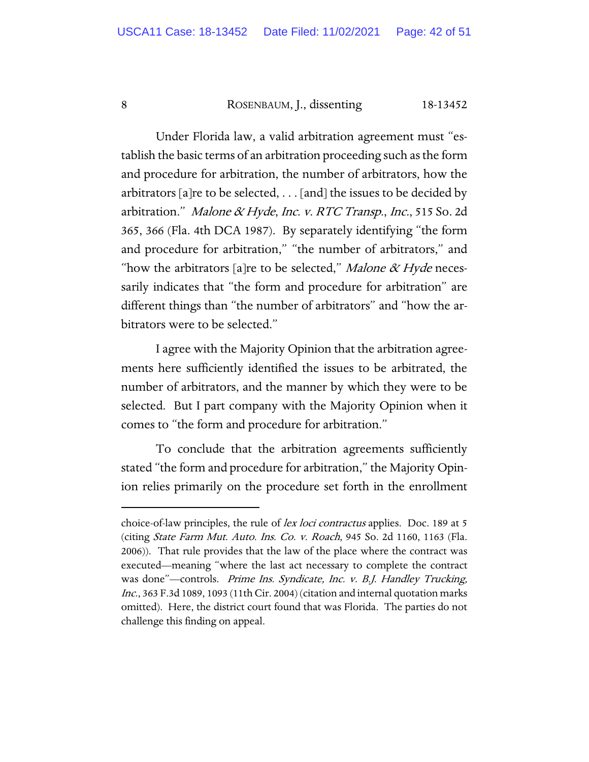#### 8 ROSENBAUM, J., dissenting 18-13452

Under Florida law, a valid arbitration agreement must "establish the basic terms of an arbitration proceeding such as the form and procedure for arbitration, the number of arbitrators, how the arbitrators [a]re to be selected, . . . [and] the issues to be decided by arbitration." Malone & Hyde, Inc. v. RTC Transp., Inc., 515 So. 2d 365, 366 (Fla. 4th DCA 1987). By separately identifying "the form and procedure for arbitration," "the number of arbitrators," and "how the arbitrators [a]re to be selected," Malone  $\alpha$  Hyde necessarily indicates that "the form and procedure for arbitration" are different things than "the number of arbitrators" and "how the arbitrators were to be selected."

I agree with the Majority Opinion that the arbitration agreements here sufficiently identified the issues to be arbitrated, the number of arbitrators, and the manner by which they were to be selected. But I part company with the Majority Opinion when it comes to "the form and procedure for arbitration."

To conclude that the arbitration agreements sufficiently stated "the form and procedure for arbitration," the Majority Opinion relies primarily on the procedure set forth in the enrollment

choice-of-law principles, the rule of lex loci contractus applies. Doc. 189 at 5 (citing State Farm Mut. Auto. Ins. Co. v. Roach, 945 So. 2d 1160, 1163 (Fla. 2006)). That rule provides that the law of the place where the contract was executed—meaning "where the last act necessary to complete the contract was done"—controls. Prime Ins. Syndicate, Inc. v. B.J. Handley Trucking, Inc., 363 F.3d 1089, 1093 (11th Cir. 2004) (citation and internal quotation marks omitted). Here, the district court found that was Florida. The parties do not challenge this finding on appeal.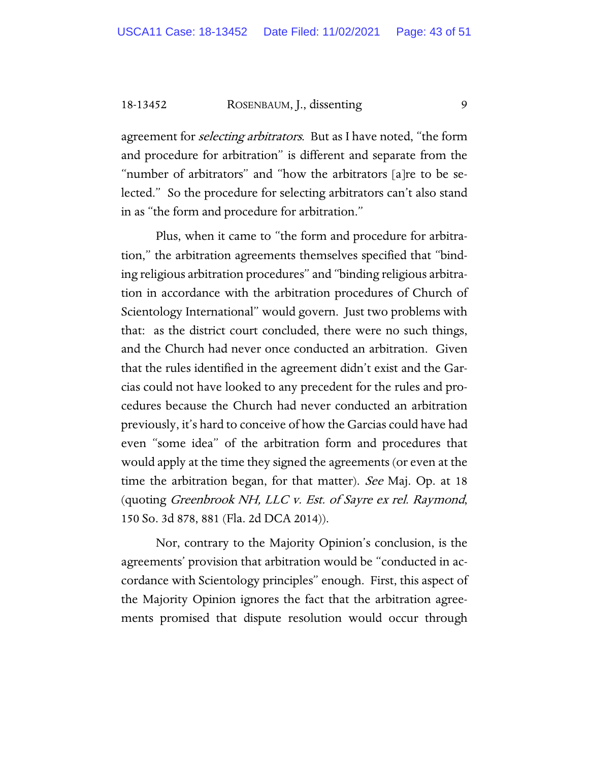18-13452 ROSENBAUM, J., dissenting 9

agreement for *selecting arbitrators*. But as I have noted, "the form and procedure for arbitration" is different and separate from the "number of arbitrators" and "how the arbitrators [a]re to be selected." So the procedure for selecting arbitrators can't also stand in as "the form and procedure for arbitration."

Plus, when it came to "the form and procedure for arbitration," the arbitration agreements themselves specified that "binding religious arbitration procedures" and "binding religious arbitration in accordance with the arbitration procedures of Church of Scientology International" would govern. Just two problems with that: as the district court concluded, there were no such things, and the Church had never once conducted an arbitration. Given that the rules identified in the agreement didn't exist and the Garcias could not have looked to any precedent for the rules and procedures because the Church had never conducted an arbitration previously, it's hard to conceive of how the Garcias could have had even "some idea" of the arbitration form and procedures that would apply at the time they signed the agreements (or even at the time the arbitration began, for that matter). See Maj. Op. at 18 (quoting Greenbrook NH, LLC v. Est. of Sayre ex rel. Raymond, 150 So. 3d 878, 881 (Fla. 2d DCA 2014)).

Nor, contrary to the Majority Opinion's conclusion, is the agreements' provision that arbitration would be "conducted in accordance with Scientology principles" enough. First, this aspect of the Majority Opinion ignores the fact that the arbitration agreements promised that dispute resolution would occur through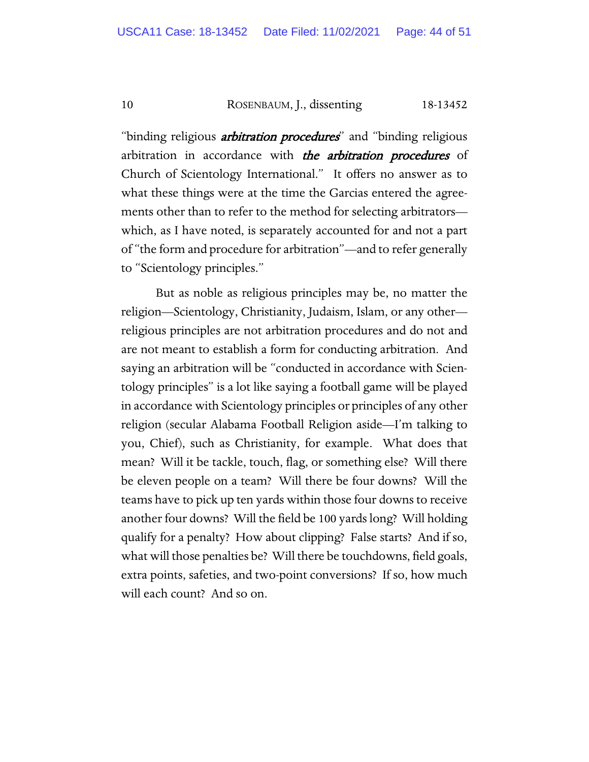10 ROSENBAUM, J., dissenting 18-13452

"binding religious *arbitration procedures*" and "binding religious arbitration in accordance with the arbitration procedures of Church of Scientology International." It offers no answer as to what these things were at the time the Garcias entered the agreements other than to refer to the method for selecting arbitrators which, as I have noted, is separately accounted for and not a part of "the form and procedure for arbitration"—and to refer generally to "Scientology principles."

But as noble as religious principles may be, no matter the religion—Scientology, Christianity, Judaism, Islam, or any other religious principles are not arbitration procedures and do not and are not meant to establish a form for conducting arbitration. And saying an arbitration will be "conducted in accordance with Scientology principles" is a lot like saying a football game will be played in accordance with Scientology principles or principles of any other religion (secular Alabama Football Religion aside—I'm talking to you, Chief), such as Christianity, for example. What does that mean? Will it be tackle, touch, flag, or something else? Will there be eleven people on a team? Will there be four downs? Will the teams have to pick up ten yards within those four downs to receive another four downs? Will the field be 100 yards long? Will holding qualify for a penalty? How about clipping? False starts? And if so, what will those penalties be? Will there be touchdowns, field goals, extra points, safeties, and two-point conversions? If so, how much will each count? And so on.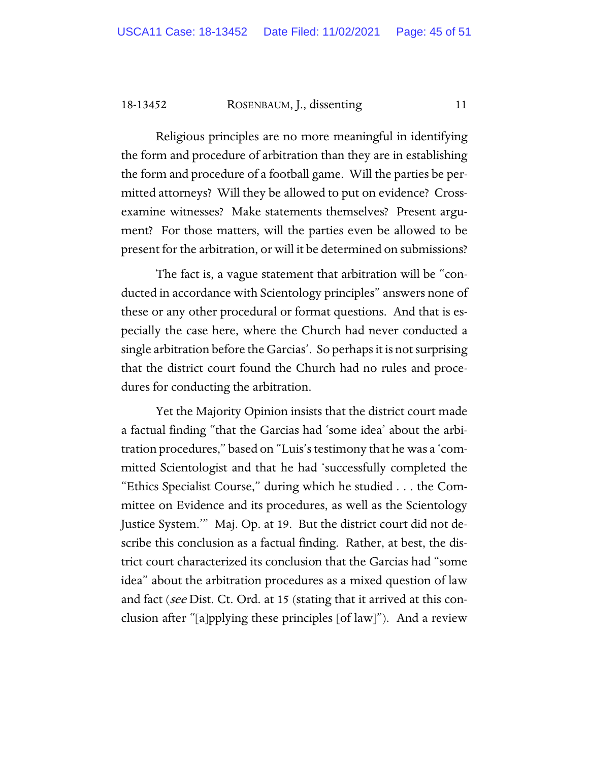18-13452 ROSENBAUM, J., dissenting 11

Religious principles are no more meaningful in identifying the form and procedure of arbitration than they are in establishing the form and procedure of a football game. Will the parties be permitted attorneys? Will they be allowed to put on evidence? Crossexamine witnesses? Make statements themselves? Present argument? For those matters, will the parties even be allowed to be present for the arbitration, or will it be determined on submissions?

The fact is, a vague statement that arbitration will be "conducted in accordance with Scientology principles" answers none of these or any other procedural or format questions. And that is especially the case here, where the Church had never conducted a single arbitration before the Garcias'. So perhaps it is not surprising that the district court found the Church had no rules and procedures for conducting the arbitration.

Yet the Majority Opinion insists that the district court made a factual finding "that the Garcias had 'some idea' about the arbitration procedures," based on "Luis's testimony that he was a 'committed Scientologist and that he had 'successfully completed the "Ethics Specialist Course," during which he studied . . . the Committee on Evidence and its procedures, as well as the Scientology Justice System.'" Maj. Op. at 19. But the district court did not describe this conclusion as a factual finding. Rather, at best, the district court characterized its conclusion that the Garcias had "some idea" about the arbitration procedures as a mixed question of law and fact (see Dist. Ct. Ord. at 15 (stating that it arrived at this conclusion after "[a]pplying these principles [of law]"). And a review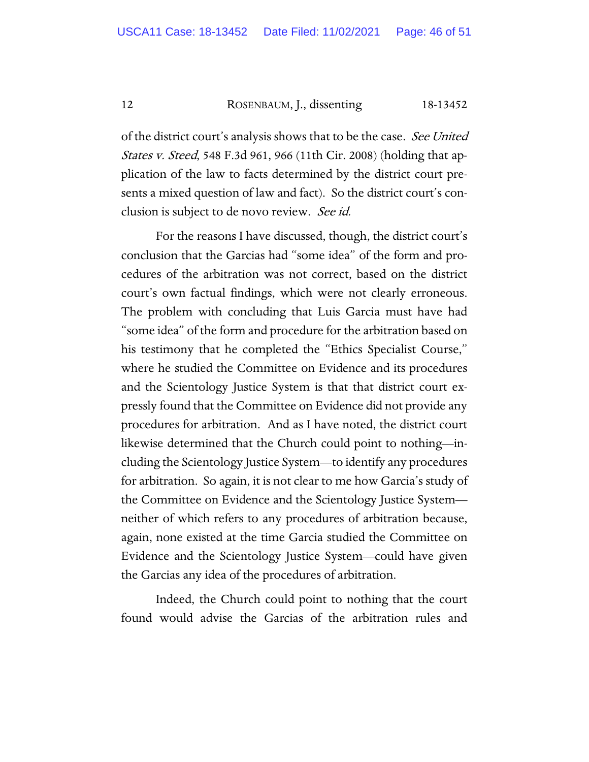12 ROSENBAUM, J., dissenting 18-13452

of the district court's analysis shows that to be the case. See United *States v. Steed*, 548 F.3d 961, 966 (11th Cir. 2008) (holding that application of the law to facts determined by the district court presents a mixed question of law and fact). So the district court's conclusion is subject to de novo review. See id.

For the reasons I have discussed, though, the district court's conclusion that the Garcias had "some idea" of the form and procedures of the arbitration was not correct, based on the district court's own factual findings, which were not clearly erroneous. The problem with concluding that Luis Garcia must have had "some idea" of the form and procedure for the arbitration based on his testimony that he completed the "Ethics Specialist Course," where he studied the Committee on Evidence and its procedures and the Scientology Justice System is that that district court expressly found that the Committee on Evidence did not provide any procedures for arbitration. And as I have noted, the district court likewise determined that the Church could point to nothing—including the Scientology Justice System—to identify any procedures for arbitration. So again, it is not clear to me how Garcia's study of the Committee on Evidence and the Scientology Justice System neither of which refers to any procedures of arbitration because, again, none existed at the time Garcia studied the Committee on Evidence and the Scientology Justice System—could have given the Garcias any idea of the procedures of arbitration.

Indeed, the Church could point to nothing that the court found would advise the Garcias of the arbitration rules and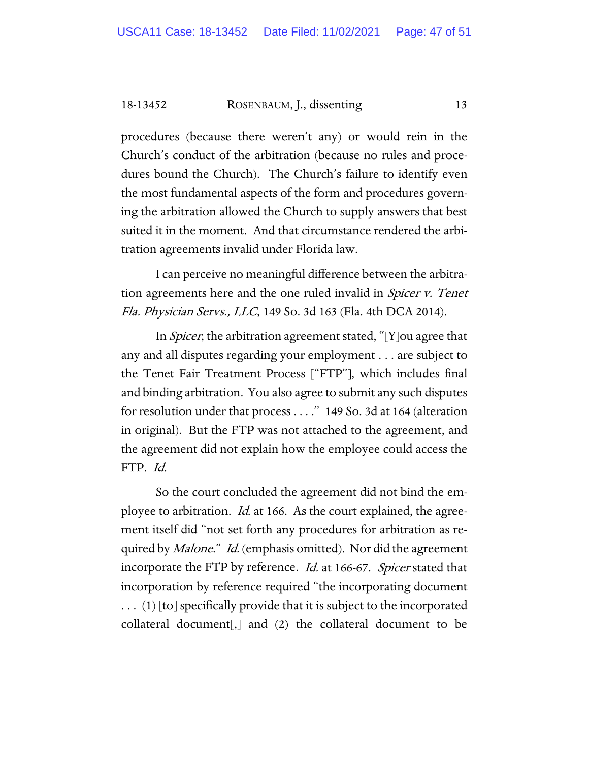18-13452 ROSENBAUM, J., dissenting 13

procedures (because there weren't any) or would rein in the Church's conduct of the arbitration (because no rules and procedures bound the Church). The Church's failure to identify even the most fundamental aspects of the form and procedures governing the arbitration allowed the Church to supply answers that best suited it in the moment. And that circumstance rendered the arbitration agreements invalid under Florida law.

I can perceive no meaningful difference between the arbitration agreements here and the one ruled invalid in *Spicer v. Tenet* Fla. Physician Servs., LLC, 149 So. 3d 163 (Fla. 4th DCA 2014).

In Spicer, the arbitration agreement stated, "[Y]ou agree that any and all disputes regarding your employment . . . are subject to the Tenet Fair Treatment Process ["FTP"], which includes final and binding arbitration. You also agree to submit any such disputes for resolution under that process . . . ." 149 So. 3d at 164 (alteration in original). But the FTP was not attached to the agreement, and the agreement did not explain how the employee could access the FTP. Id.

So the court concluded the agreement did not bind the employee to arbitration. *Id.* at 166. As the court explained, the agreement itself did "not set forth any procedures for arbitration as required by *Malone.*" Id. (emphasis omitted). Nor did the agreement incorporate the FTP by reference. Id. at 166-67. Spicer stated that incorporation by reference required "the incorporating document . . . (1) [to] specifically provide that it is subject to the incorporated collateral document[,] and (2) the collateral document to be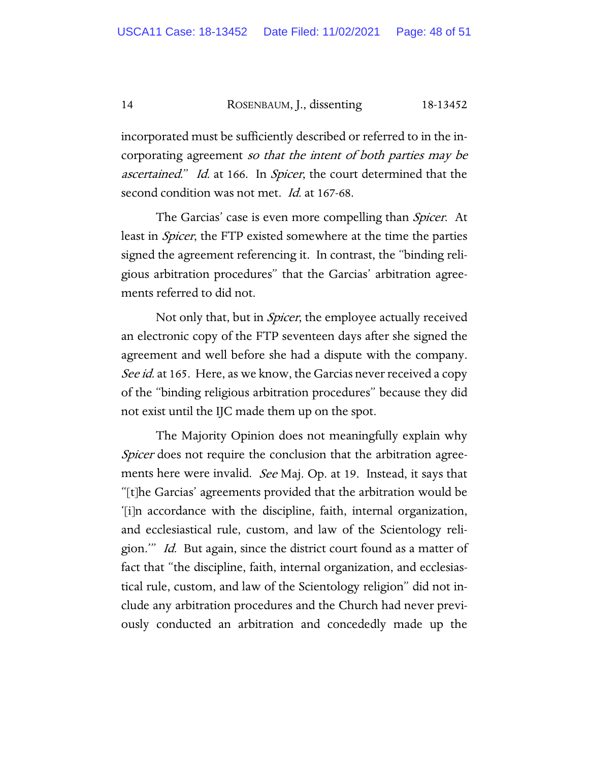#### 14 ROSENBAUM, J., dissenting 18-13452

incorporated must be sufficiently described or referred to in the incorporating agreement so that the intent of both parties may be ascertained." Id. at 166. In Spicer, the court determined that the second condition was not met. *Id.* at 167-68.

The Garcias' case is even more compelling than Spicer. At least in Spicer, the FTP existed somewhere at the time the parties signed the agreement referencing it. In contrast, the "binding religious arbitration procedures" that the Garcias' arbitration agreements referred to did not.

Not only that, but in *Spicer*, the employee actually received an electronic copy of the FTP seventeen days after she signed the agreement and well before she had a dispute with the company. See id. at 165. Here, as we know, the Garcias never received a copy of the "binding religious arbitration procedures" because they did not exist until the IJC made them up on the spot.

The Majority Opinion does not meaningfully explain why Spicer does not require the conclusion that the arbitration agreements here were invalid. See Maj. Op. at 19. Instead, it says that "[t]he Garcias' agreements provided that the arbitration would be '[i]n accordance with the discipline, faith, internal organization, and ecclesiastical rule, custom, and law of the Scientology religion." *Id.* But again, since the district court found as a matter of fact that "the discipline, faith, internal organization, and ecclesiastical rule, custom, and law of the Scientology religion" did not include any arbitration procedures and the Church had never previously conducted an arbitration and concededly made up the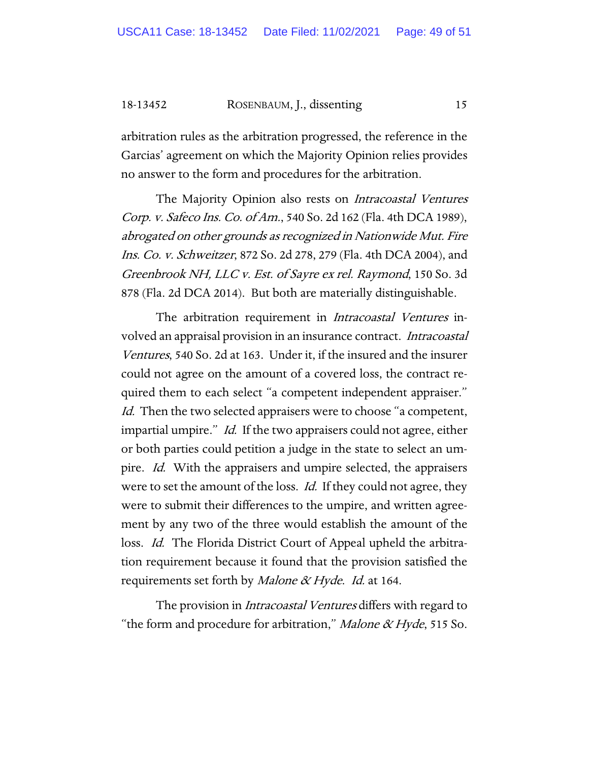#### 18-13452 ROSENBAUM, J., dissenting 15

arbitration rules as the arbitration progressed, the reference in the Garcias' agreement on which the Majority Opinion relies provides no answer to the form and procedures for the arbitration.

The Majority Opinion also rests on Intracoastal Ventures Corp. v. Safeco Ins. Co. of Am., 540 So. 2d 162 (Fla. 4th DCA 1989), abrogated on other grounds as recognized in Nationwide Mut. Fire Ins. Co. v. Schweitzer, 872 So. 2d 278, 279 (Fla. 4th DCA 2004), and Greenbrook NH, LLC v. Est. of Sayre ex rel. Raymond, 150 So. 3d 878 (Fla. 2d DCA 2014). But both are materially distinguishable.

The arbitration requirement in *Intracoastal Ventures* involved an appraisal provision in an insurance contract. Intracoastal Ventures, 540 So. 2d at 163. Under it, if the insured and the insurer could not agree on the amount of a covered loss, the contract required them to each select "a competent independent appraiser." Id. Then the two selected appraisers were to choose "a competent, impartial umpire." *Id.* If the two appraisers could not agree, either or both parties could petition a judge in the state to select an umpire. *Id.* With the appraisers and umpire selected, the appraisers were to set the amount of the loss. *Id.* If they could not agree, they were to submit their differences to the umpire, and written agreement by any two of the three would establish the amount of the loss. *Id.* The Florida District Court of Appeal upheld the arbitration requirement because it found that the provision satisfied the requirements set forth by *Malone & Hyde. Id.* at 164.

The provision in *Intracoastal Ventures* differs with regard to "the form and procedure for arbitration," *Malone & Hyde*, 515 So.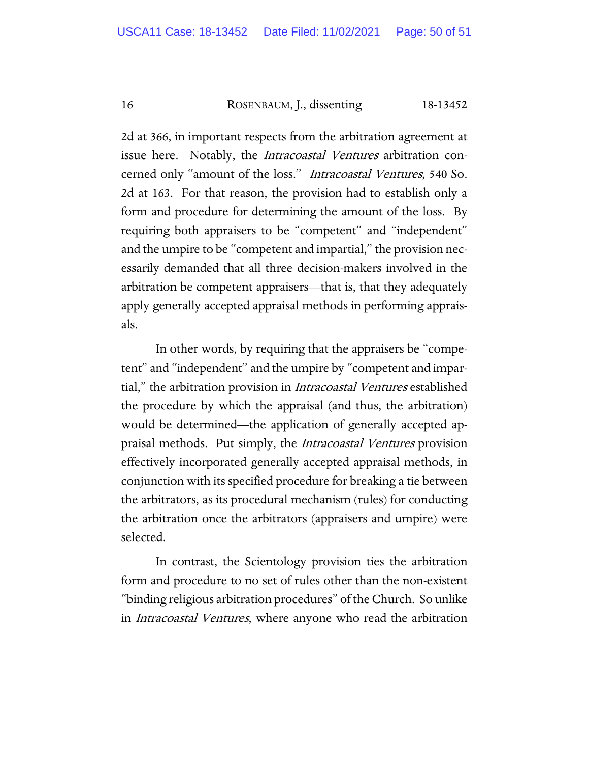16 ROSENBAUM, J., dissenting 18-13452

2d at 366, in important respects from the arbitration agreement at issue here. Notably, the *Intracoastal Ventures* arbitration concerned only "amount of the loss." Intracoastal Ventures, 540 So. 2d at 163. For that reason, the provision had to establish only a form and procedure for determining the amount of the loss. By requiring both appraisers to be "competent" and "independent" and the umpire to be "competent and impartial," the provision necessarily demanded that all three decision-makers involved in the arbitration be competent appraisers—that is, that they adequately apply generally accepted appraisal methods in performing appraisals.

In other words, by requiring that the appraisers be "competent" and "independent" and the umpire by "competent and impartial," the arbitration provision in Intracoastal Ventures established the procedure by which the appraisal (and thus, the arbitration) would be determined—the application of generally accepted appraisal methods. Put simply, the *Intracoastal Ventures* provision effectively incorporated generally accepted appraisal methods, in conjunction with its specified procedure for breaking a tie between the arbitrators, as its procedural mechanism (rules) for conducting the arbitration once the arbitrators (appraisers and umpire) were selected.

In contrast, the Scientology provision ties the arbitration form and procedure to no set of rules other than the non-existent "binding religious arbitration procedures" of the Church. So unlike in Intracoastal Ventures, where anyone who read the arbitration